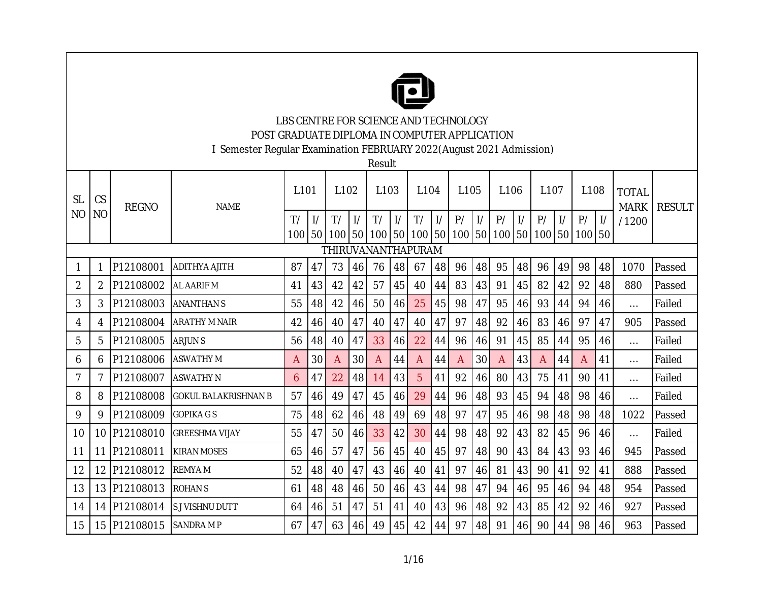

LBS CENTRE FOR SCIENCE AND TECHNOLOGY POST GRADUATE DIPLOMA IN COMPUTER APPLICATION

I Semester Regular Examination FEBRUARY 2022(August 2021 Admission)

Result

|                |                |              |                             |                  |    |                                                                      |               | ,,,,,,,,     |               |                  |               |      |               |                  |               |      |               |        |    |                             |               |
|----------------|----------------|--------------|-----------------------------|------------------|----|----------------------------------------------------------------------|---------------|--------------|---------------|------------------|---------------|------|---------------|------------------|---------------|------|---------------|--------|----|-----------------------------|---------------|
| <b>SL</b>      | CS             | <b>REGNO</b> | <b>NAME</b>                 | L <sub>101</sub> |    | L102                                                                 |               | L103         |               | L <sub>104</sub> |               | L105 |               | L <sub>106</sub> |               | L107 |               | L108   |    | <b>TOTAL</b><br><b>MARK</b> | <b>RESULT</b> |
| N <sub>O</sub> | N <sub>O</sub> |              |                             | T/               |    | T/                                                                   | $\frac{1}{2}$ | T/           | $\frac{1}{2}$ | T/               | $\frac{1}{2}$ | P/   | $\frac{1}{2}$ | P/               | $\frac{1}{2}$ | P/   | $\frac{1}{2}$ | P/     |    | /1200                       |               |
|                |                |              |                             | 100              |    | 50   100   50   100   50   100   50   100   50   100   50   100   50 |               |              |               |                  |               |      |               |                  |               |      |               | 100 50 |    |                             |               |
|                |                |              |                             |                  |    | THIRUVANANTHAPURAM                                                   |               |              |               |                  |               |      |               |                  |               |      |               |        |    |                             |               |
| 1              |                | P12108001    | <b>ADITHYA AJITH</b>        | 87               | 47 | 73                                                                   | 46            | 76           | 48            | 67               | 48            | 96   | 48            | 95               | 48            | 96   | 49            | 98     | 48 | 1070                        | Passed        |
| 2              | 2              | P12108002    | AL AARIF M                  | 41               | 43 | 42                                                                   | 42            | 57           | 45            | 40               | 44            | 83   | 43            | 91               | 45            | 82   | 42            | 92     | 48 | 880                         | Passed        |
| 3              | 3              | P12108003    | <b>ANANTHAN S</b>           | 55               | 48 | 42                                                                   | 46            | 50           | 46            | 25               | 45            | 98   | 47            | 95               | 46            | 93   | 44            | 94     | 46 | $\cdots$                    | Failed        |
| 4              | 4              | P12108004    | <b>ARATHY M NAIR</b>        | 42               | 46 | 40                                                                   | 47            | 40           | 47            | 40               | 47            | 97   | 48            | 92               | 46            | 83   | 46            | 97     | 47 | 905                         | Passed        |
| 5              | 5.             | P12108005    | <b>ARJUNS</b>               | 56               | 48 | 40                                                                   | 47            | 33           | 46            | 22               | 44            | 96   | 46            | 91               | 45            | 85   | 44            | 95     | 46 | $\cdots$                    | Failed        |
| 6              | 6              | P12108006    | <b>ASWATHY M</b>            | A                | 30 | A                                                                    | 30            | $\mathsf{A}$ | 44            | A                | 44            | A    | 30            | $\overline{A}$   | 43            | A    | 44            | A      | 41 | $\cdots$                    | Failed        |
| 7              | 7              | P12108007    | <b>ASWATHY N</b>            | 6                | 47 | 22                                                                   | 48            | 14           | 43            | 5                | 41            | 92   | 46            | 80               | 43            | 75   | 41            | 90     | 41 | $\cdots$                    | Failed        |
| 8              | 8              | P12108008    | <b>GOKUL BALAKRISHNAN B</b> | 57               | 46 | 49                                                                   | 47            | 45           | 46            | 29               | 44            | 96   | 48            | 93               | 45            | 94   | 48            | 98     | 46 | $\cdots$                    | Failed        |
| 9              | 9              | P12108009    | <b>GOPIKA GS</b>            | 75               | 48 | 62                                                                   | 46            | 48           | 49            | 69               | 48            | 97   | 47            | 95               | 46            | 98   | 48            | 98     | 48 | 1022                        | Passed        |
| 10             |                | 10 P12108010 | <b>GREESHMA VIJAY</b>       | 55               | 47 | 50                                                                   | 46 I          | 33           | 42            | 30               | 44            | 98   | 48            | 92               | 43            | 82   | 45            | 96     | 46 | $\cdots$                    | Failed        |
| 11             |                | 11 P12108011 | <b>KIRAN MOSES</b>          | 65               | 46 | 57                                                                   | 47            | 56           | 45            | 40               | 45            | 97   | 48            | 90               | 43            | 84   | 43            | 93     | 46 | 945                         | Passed        |
| 12             |                | 12 P12108012 | <b>REMYAM</b>               | 52               | 48 | 40                                                                   | 47            | 43           | 46            | 40               | 41            | 97   | 46            | 81               | 43            | 90   | 41            | 92     | 41 | 888                         | Passed        |
| 13             |                | 13 P12108013 | <b>ROHANS</b>               | 61               | 48 | 48                                                                   | 46            | 50           | 46            | 43               | 44            | 98   | 47            | 94               | 46            | 95   | 46            | 94     | 48 | 954                         | Passed        |
| 14             |                | 14 P12108014 | S J VISHNU DUTT             | 64               | 46 | 51                                                                   | 47            | 51           | 41            | 40               | 43            | 96   | 48            | 92               | 43            | 85   | 42            | 92     | 46 | 927                         | Passed        |
| 15             |                | 15 P12108015 | SANDRA M P                  | 67               | 47 | 63                                                                   | 46            | 49           | 45            | 42               | 44            | 97   | 48            | 91               | 46            | 90   | 44            | 98     | 46 | 963                         | Passed        |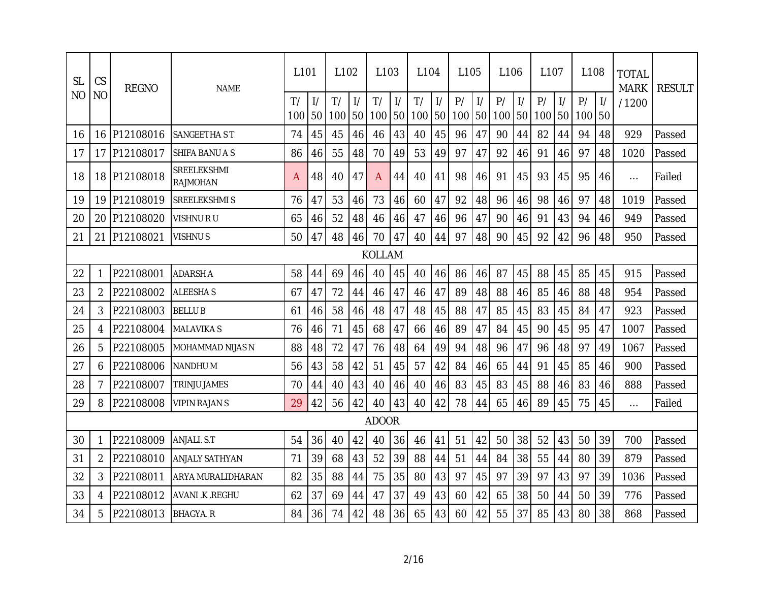| <b>SL</b>      | CS             | <b>REGNO</b> | <b>NAME</b>             | L <sub>101</sub> |                     | L <sub>102</sub> |                     | L103          |                     | L <sub>104</sub> |                     | L <sub>105</sub> |                     | L <sub>106</sub> |                     | L <sub>107</sub> |               | L <sub>108</sub> |                      | <b>TOTAL</b><br><b>MARK</b> | <b>RESULT</b> |
|----------------|----------------|--------------|-------------------------|------------------|---------------------|------------------|---------------------|---------------|---------------------|------------------|---------------------|------------------|---------------------|------------------|---------------------|------------------|---------------|------------------|----------------------|-----------------------------|---------------|
| N <sub>O</sub> | N <sub>O</sub> |              |                         | T/<br>100        | $\frac{1}{2}$<br>50 | T/<br>100        | $\frac{1}{2}$<br>50 | T/<br>100     | $\frac{1}{2}$<br>50 | T/<br>100        | $\frac{1}{2}$<br>50 | P/<br>100        | $\frac{1}{2}$<br>50 | P/<br>100        | $\frac{1}{2}$<br>50 | P/<br>100 50     | $\frac{1}{2}$ | P/<br>100        | $\frac{1}{2}$<br>150 | /1200                       |               |
| 16             | 16             | P12108016    | SANGEETHA S T           | 74               | 45                  | 45               | 46                  | 46            | 43                  | 40               | 45                  | 96               | 47                  | 90               | 44                  | 82               | 44            | 94               | 48                   | 929                         | Passed        |
| 17             |                | 17 P12108017 | SHIFA BANU A S          | 86               | 46                  | 55               | 48                  | 70            | 49                  | 53               | 49                  | 97               | 47                  | 92               | 46                  | 91               | 46            | 97               | 48                   | 1020                        | Passed        |
| 18             |                | 18 P12108018 | SREELEKSHMI<br>RAJMOHAN | A                | 48                  | 40               | 47                  | A             | 44                  | 40               | 41                  | 98               | 46                  | 91               | 45                  | 93               | 45            | 95               | 46                   | $\cdots$                    | Failed        |
| 19             |                | 19 P12108019 | SREELEKSHMI S           | 76               | 47                  | 53               | 46                  | 73            | 46                  | 60               | 47                  | 92               | 48                  | 96               | 46                  | 98               | 46            | 97               | 48                   | 1019                        | Passed        |
| 20             | 20             | P12108020    | VISHNU R U              | 65               | 46                  | 52               | 48                  | 46            | 46                  | 47               | 46                  | 96               | 47                  | 90               | 46                  | 91               | 43            | 94               | 46                   | 949                         | Passed        |
| 21             |                | 21 P12108021 | VISHNU S                | 50               | 47                  | 48               | 46                  | 70            | 47                  | 40               | 44                  | 97               | 48                  | 90               | 45                  | 92               | 42            | 96               | 48                   | 950                         | Passed        |
|                |                |              |                         |                  |                     |                  |                     | <b>KOLLAM</b> |                     |                  |                     |                  |                     |                  |                     |                  |               |                  |                      |                             |               |
| 22             | 1              | P22108001    | <b>ADARSH A</b>         | 58               | 44                  | 69               | 46                  | 40            | 45                  | 40               | 46                  | 86               | 46                  | 87               | 45                  | 88               | 45            | 85               | 45                   | 915                         | Passed        |
| 23             | $\overline{2}$ | P22108002    | <b>ALEESHAS</b>         | 67               | 47                  | 72               | 44                  | 46            | 47                  | 46               | 47                  | 89               | 48                  | 88               | 46                  | 85               | 46            | 88               | 48                   | 954                         | Passed        |
| 24             | 3              | P22108003    | <b>BELLUB</b>           | 61               | 46                  | 58               | 46                  | 48            | 47                  | 48               | 45                  | 88               | 47                  | 85               | 45                  | 83               | 45            | 84               | 47                   | 923                         | Passed        |
| 25             | 4              | P22108004    | <b>MALAVIKA S</b>       | 76               | 46                  | 71               | 45                  | 68            | 47                  | 66               | 46                  | 89               | 47                  | 84               | 45                  | 90               | 45            | 95               | 47                   | 1007                        | Passed        |
| 26             | 5              | P22108005    | MOHAMMAD NIJAS N        | 88               | 48                  | 72               | 47                  | 76            | 48                  | 64               | 49                  | 94               | 48                  | 96               | 47                  | 96               | 48            | 97               | 49                   | 1067                        | Passed        |
| 27             | 6              | P22108006    | <b>NANDHU M</b>         | 56               | 43                  | 58               | 42                  | 51            | 45                  | 57               | 42                  | 84               | 46                  | 65               | 44                  | 91               | 45            | 85               | 46                   | 900                         | Passed        |
| 28             | 7              | P22108007    | TRINJU JAMES            | 70               | 44                  | 40               | 43                  | 40            | 46                  | 40               | 46                  | 83               | 45                  | 83               | 45                  | 88               | 46            | 83               | 46                   | 888                         | Passed        |
| 29             | 8              | P22108008    | <b>VIPIN RAJANS</b>     | 29               | 42                  | 56               | 42                  | 40            | 43                  | 40               | 42                  | 78               | 44                  | 65               | 46                  | 89               | 45            | 75               | 45                   | $\ldots$                    | Failed        |
|                |                |              |                         |                  |                     |                  |                     | <b>ADOOR</b>  |                     |                  |                     |                  |                     |                  |                     |                  |               |                  |                      |                             |               |
| 30             | 1              | P22108009    | ANJALI. S.T             | 54               | 36                  | 40               | 42                  | 40            | 36                  | 46               | 41                  | 51               | 42                  | 50               | 38                  | 52               | 43            | 50               | 39                   | 700                         | Passed        |
| 31             | 2              | P22108010    | ANJALY SATHYAN          | 71               | 39                  | 68               | 43                  | 52            | 39                  | 88               | 44                  | 51               | 44                  | 84               | 38                  | 55               | 44            | 80               | 39                   | 879                         | Passed        |
| 32             | 3              | P22108011    | ARYA MURALIDHARAN       | 82               | 35                  | 88               | 44                  | 75            | 35                  | 80               | 43                  | 97               | 45                  | 97               | 39                  | 97               | 43            | 97               | 39                   | 1036                        | Passed        |
| 33             | 4              | P22108012    | AVANI K REGHU           | 62               | 37                  | 69               | 44                  | 47            | 37                  | 49               | 43                  | 60               | 42                  | 65               | 38                  | 50               | 44            | 50               | 39                   | 776                         | Passed        |
| 34             | 5              | P22108013    | <b>BHAGYA, R</b>        | 84               | 36                  | 74               | 42                  | 48            | 36                  | 65               | 43                  | 60               | 42                  | 55               | 37                  | 85               | 43            | 80               | 38                   | 868                         | Passed        |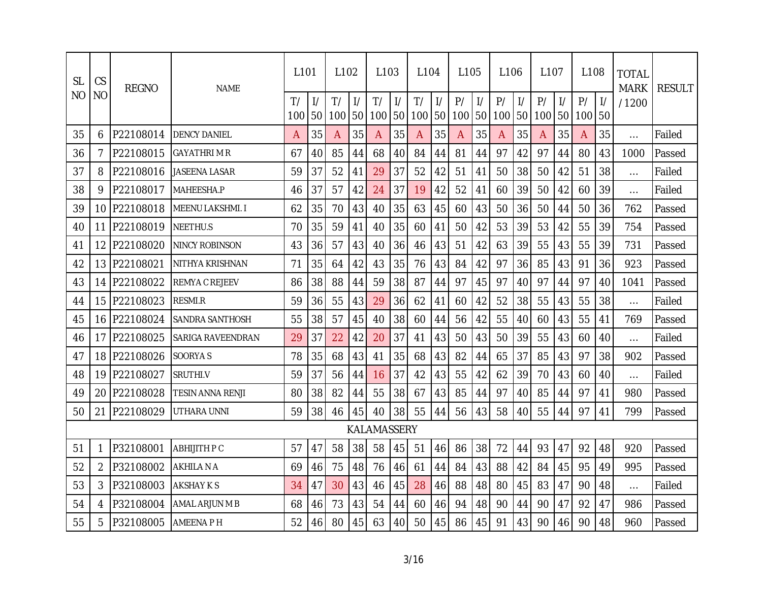| <b>SL</b> | CS              | <b>REGNO</b> | <b>NAME</b>             | L <sub>101</sub> |                     | L <sub>102</sub> |                     | L <sub>103</sub> |                     | L <sub>104</sub> |                     | L <sub>105</sub> |                     | L <sub>106</sub> |                     | L <sub>107</sub> |               | L <sub>108</sub> |    | <b>TOTAL</b><br><b>MARK</b> | <b>RESULT</b> |
|-----------|-----------------|--------------|-------------------------|------------------|---------------------|------------------|---------------------|------------------|---------------------|------------------|---------------------|------------------|---------------------|------------------|---------------------|------------------|---------------|------------------|----|-----------------------------|---------------|
| ΝO        | N <sub>O</sub>  |              |                         | T/<br>100        | $\frac{1}{2}$<br>50 | T/<br>100        | $\frac{1}{2}$<br>50 | T/<br>100        | $\frac{1}{2}$<br>50 | T/<br>100        | $\frac{1}{2}$<br>50 | P/<br>100        | $\frac{1}{2}$<br>50 | P/<br>100        | $\frac{1}{2}$<br>50 | P/<br>100 50     | $\frac{1}{2}$ | P/<br>100        | 50 | /1200                       |               |
| 35        | 6               | P22108014    | <b>DENCY DANIEL</b>     | A                | 35                  | A                | 35                  | A                | 35                  | A                | 35                  | A                | 35                  | A                | 35                  | A                | 35            | A                | 35 | $\ldots$                    | Failed        |
| 36        | 7               | P22108015    | GAYATHRI M R            | 67               | 40                  | 85               | 44                  | 68               | 40                  | 84               | 44                  | 81               | 44                  | 97               | 42                  | 97               | 44            | 80               | 43 | 1000                        | Passed        |
| 37        | 8               | P22108016    | <b>JASEENA LASAR</b>    | 59               | 37                  | 52               | 41                  | 29               | 37                  | 52               | 42                  | 51               | 41                  | 50               | 38                  | 50               | 42            | 51               | 38 | $\cdots$                    | Failed        |
| 38        | 9               | P22108017    | MAHEESHA.P              | 46               | 37                  | 57               | 42                  | 24               | 37                  | 19               | 42                  | 52               | 41                  | 60               | 39                  | 50               | 42            | 60               | 39 | $\ldots$                    | Failed        |
| 39        | 10 <sup>°</sup> | P22108018    | <b>MEENU LAKSHMI. I</b> | 62               | 35                  | 70               | 43                  | 40               | 35                  | 63               | 45                  | 60               | 43                  | 50               | 36                  | 50               | 44            | 50               | 36 | 762                         | Passed        |
| 40        | 11              | P22108019    | <b>NEETHU.S</b>         | 70               | 35                  | 59               | 41                  | 40               | 35                  | 60               | 41                  | 50               | 42                  | 53               | 39                  | 53               | 42            | 55               | 39 | 754                         | Passed        |
| 41        | 12              | P22108020    | NINCY ROBINSON          | 43               | 36                  | 57               | 43                  | 40               | 36                  | 46               | 43                  | 51               | 42                  | 63               | 39                  | 55               | 43            | 55               | 39 | 731                         | Passed        |
| 42        | 13              | P22108021    | NITHYA KRISHNAN         | 71               | 35                  | 64               | 42                  | 43               | 35                  | 76               | 43                  | 84               | 42                  | 97               | 36                  | 85               | 43            | 91               | 36 | 923                         | Passed        |
| 43        | 14              | P22108022    | REMYA C REJEEV          | 86               | 38                  | 88               | 44                  | 59               | 38                  | 87               | 44                  | 97               | 45                  | 97               | 40                  | 97               | 44            | 97               | 40 | 1041                        | Passed        |
| 44        |                 | 15 P22108023 | <b>RESMI.R</b>          | 59               | 36                  | 55               | 43                  | 29               | 36                  | 62               | 41                  | 60               | 42                  | 52               | 38                  | 55               | 43            | 55               | 38 | $\cdots$                    | Failed        |
| 45        | 16              | P22108024    | SANDRA SANTHOSH         | 55               | 38                  | 57               | 45                  | 40               | 38                  | 60               | 44                  | 56               | 42                  | 55               | 40                  | 60               | 43            | 55               | 41 | 769                         | Passed        |
| 46        | 17              | P22108025    | SARIGA RAVEENDRAN       | 29               | 37                  | 22               | 42                  | 20               | 37                  | 41               | 43                  | 50               | 43                  | 50               | 39                  | 55               | 43            | 60               | 40 | $\ldots$                    | Failed        |
| 47        |                 | 18 P22108026 | SOORYA S                | 78               | 35                  | 68               | 43                  | 41               | 35                  | 68               | 43                  | 82               | 44                  | 65               | 37                  | 85               | 43            | 97               | 38 | 902                         | Passed        |
| 48        |                 | 19 P22108027 | SRUTHI.V                | 59               | 37                  | 56               | 44                  | 16               | 37                  | 42               | 43                  | 55               | 42                  | 62               | 39                  | 70               | 43            | 60               | 40 | $\cdots$                    | Failed        |
| 49        | 20.             | P22108028    | TESIN ANNA RENJI        | 80               | 38                  | 82               | 44                  | 55               | 38                  | 67               | 43                  | 85               | 44                  | 97               | 40                  | 85               | 44            | 97               | 41 | 980                         | Passed        |
| 50        | 21              | P22108029    | UTHARA UNNI             | 59               | 38                  | 46               | 45                  | 40               | 38                  | 55               | 44                  | 56               | 43                  | 58               | 40                  | 55               | 44            | 97               | 41 | 799                         | Passed        |
|           |                 |              |                         |                  |                     |                  |                     | KALAMASSERY      |                     |                  |                     |                  |                     |                  |                     |                  |               |                  |    |                             |               |
| 51        | 1               | P32108001    | ABHIJITH P C            | 57               | 47                  | 58               | 38                  | 58               | 45                  | 51               | 46                  | 86               | 38                  | 72               | 44                  | 93               | 47            | 92               | 48 | 920                         | Passed        |
| 52        | $\overline{2}$  | P32108002    | AKHILA N A              | 69               | 46                  | 75               | 48                  | 76               | 46                  | 61               | 44                  | 84               | 43                  | 88               | 42                  | 84               | 45            | 95               | 49 | 995                         | Passed        |
| 53        | 3               | P32108003    | AKSHAY K S              | 34               | 47                  | 30               | 43                  | 46               | 45                  | 28               | 46                  | 88               | 48                  | 80               | 45                  | 83               | 47            | 90               | 48 | $\cdots$                    | Failed        |
| 54        | 4               | P32108004    | AMAL ARJUN M B          | 68               | 46                  | 73               | 43                  | 54               | 44                  | 60               | 46                  | 94               | 48                  | 90               | 44                  | 90               | 47            | 92               | 47 | 986                         | Passed        |
| 55        | 5               | P32108005    | AMEENA P H              | 52               | 46                  | 80               | 45                  | 63               | 40                  | 50               | 45                  | 86               | 45                  | 91               | 43                  | 90               | 46            | 90               | 48 | 960                         | Passed        |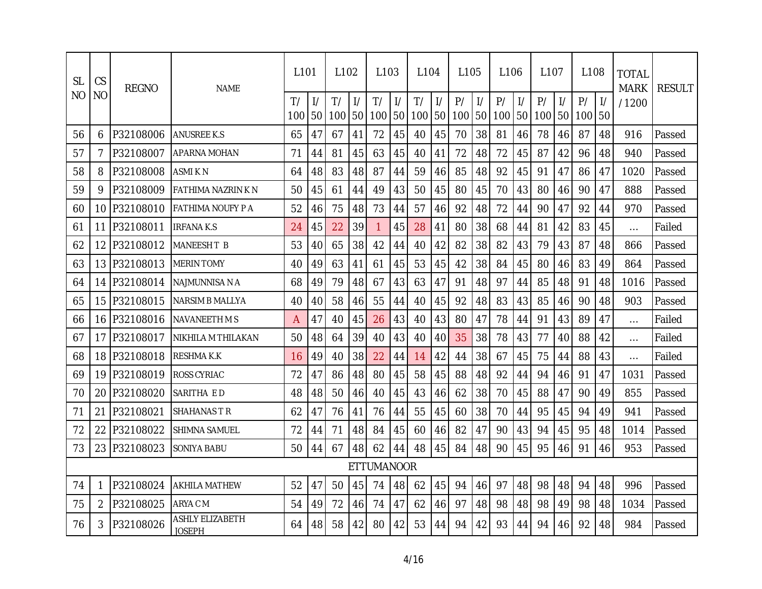| <b>SL</b> | CS             | <b>REGNO</b> | <b>NAME</b>                      | 1101      |       | L <sub>102</sub> |                     | L <sub>103</sub>  |                     | L <sub>104</sub> |                     | L <sub>105</sub> |                     | L <sub>106</sub> |                     | L <sub>107</sub> |               | L <sub>108</sub> |    | <b>TOTAL</b><br><b>MARK</b> | <b>RESULT</b> |
|-----------|----------------|--------------|----------------------------------|-----------|-------|------------------|---------------------|-------------------|---------------------|------------------|---------------------|------------------|---------------------|------------------|---------------------|------------------|---------------|------------------|----|-----------------------------|---------------|
| NO        | N <sub>O</sub> |              |                                  | T/<br>100 | -50 I | T/<br>100        | $\frac{1}{2}$<br>50 | T/<br>100         | $\frac{1}{2}$<br>50 | T/<br>100        | $\frac{1}{2}$<br>50 | P/<br>100        | $\frac{1}{2}$<br>50 | P/<br>100        | $\frac{1}{2}$<br>50 | P/<br>100 50     | $\frac{1}{2}$ | P/<br>100        | 50 | /1200                       |               |
| 56        | 6              | P32108006    | <b>ANUSREE K.S</b>               | 65        | 47    | 67               | 41                  | 72                | 45                  | 40               | 45                  | 70               | 38                  | 81               | 46                  | 78               | 46            | 87               | 48 | 916                         | Passed        |
| 57        | 7              | P32108007    | <b>APARNA MOHAN</b>              | 71        | 44    | 81               | 45                  | 63                | 45                  | 40               | 41                  | 72               | 48                  | 72               | 45                  | 87               | 42            | 96               | 48 | 940                         | Passed        |
| 58        | 8              | P32108008    | <b>ASMIKN</b>                    | 64        | 48    | 83               | 48                  | 87                | 44                  | 59               | 46                  | 85               | 48                  | 92               | 45                  | 91               | 47            | 86               | 47 | 1020                        | Passed        |
| 59        | 9              | P32108009    | FATHIMA NAZRIN K N               | 50        | 45    | 61               | 44                  | 49                | 43                  | 50               | 45                  | 80               | 45                  | 70               | 43                  | 80               | 46            | 90               | 47 | 888                         | Passed        |
| 60        | 10             | P32108010    | FATHIMA NOUFY P A                | 52        | 46    | 75               | 48                  | 73                | 44                  | 57               | 46                  | 92               | 48                  | 72               | 44                  | 90               | 47            | 92               | 44 | 970                         | Passed        |
| 61        | 11             | P32108011    | <b>IRFANA K.S</b>                | 24        | 45    | 22               | 39                  | 1                 | 45                  | 28               | 41                  | 80               | 38                  | 68               | 44                  | 81               | 42            | 83               | 45 | $\cdots$                    | Failed        |
| 62        | 12             | P32108012    | <b>MANEESH T B</b>               | 53        | 40    | 65               | 38                  | 42                | 44                  | 40               | 42                  | 82               | 38                  | 82               | 43                  | 79               | 43            | 87               | 48 | 866                         | Passed        |
| 63        | 13             | P32108013    | <b>MERIN TOMY</b>                | 40        | 49    | 63               | 41                  | 61                | 45                  | 53               | 45                  | 42               | 38                  | 84               | 45                  | 80               | 46            | 83               | 49 | 864                         | Passed        |
| 64        | 14             | P32108014    | NAJMUNNISA N A                   | 68        | 49    | 79               | 48                  | 67                | 43                  | 63               | 47                  | 91               | 48                  | 97               | 44                  | 85               | 48            | 91               | 48 | 1016                        | Passed        |
| 65        | 15             | P32108015    | <b>NARSIM B MALLYA</b>           | 40        | 40    | 58               | 46                  | 55                | 44                  | 40               | 45                  | 92               | 48                  | 83               | 43                  | 85               | 46            | 90               | 48 | 903                         | Passed        |
| 66        | 16             | P32108016    | NAVANEETH M S                    | A         | 47    | 40               | 45                  | 26                | 43                  | 40               | 43                  | 80               | 47                  | 78               | 44                  | 91               | 43            | 89               | 47 | $\ldots$                    | Failed        |
| 67        | 17             | P32108017    | NIKHILA M THILAKAN               | 50        | 48    | 64               | 39                  | 40                | 43                  | 40               | 40                  | 35               | 38                  | 78               | 43                  | 77               | 40            | 88               | 42 | $\cdots$                    | Failed        |
| 68        | 18             | P32108018    | <b>RESHMAK.K</b>                 | 16        | 49    | 40               | 38                  | 22                | 44                  | 14               | 42                  | 44               | 38                  | 67               | 45                  | 75               | 44            | 88               | 43 | $\cdots$                    | Failed        |
| 69        | 19             | P32108019    | <b>ROSS CYRIAC</b>               | 72        | 47    | 86               | 48                  | 80                | 45                  | 58               | 45                  | 88               | 48                  | 92               | 44                  | 94               | 46            | 91               | 47 | 1031                        | Passed        |
| 70        | 20             | P32108020    | SARITHA ED                       | 48        | 48    | 50               | 46                  | 40                | 45                  | 43               | 46                  | 62               | 38                  | 70               | 45                  | 88               | 47            | 90               | 49 | 855                         | Passed        |
| 71        | 21             | P32108021    | SHAHANAS T R                     | 62        | 47    | 76               | 41                  | 76                | 44                  | 55               | 45                  | 60               | 38                  | 70               | 44                  | 95               | 45            | 94               | 49 | 941                         | Passed        |
| 72        | 22             | P32108022    | <b>SHIMNA SAMUEL</b>             | 72        | 44    | 71               | 48                  | 84                | 45                  | 60               | 46                  | 82               | 47                  | 90               | 43                  | 94               | 45            | 95               | 48 | 1014                        | Passed        |
| 73        | 23             | P32108023    | SONIYA BABU                      | 50        | 44    | 67               | 48                  | 62                | 44                  | 48               | 45                  | 84               | 48                  | 90               | 45                  | 95               | 46            | 91               | 46 | 953                         | Passed        |
|           |                |              |                                  |           |       |                  |                     | <b>ETTUMANOOR</b> |                     |                  |                     |                  |                     |                  |                     |                  |               |                  |    |                             |               |
| 74        | 1              | P32108024    | <b>AKHILA MATHEW</b>             | 52        | 47    | 50               | 45                  | 74                | 48                  | 62               | 45                  | 94               | 46                  | 97               | 48                  | 98               | 48            | 94               | 48 | 996                         | Passed        |
| 75        | $\overline{2}$ | P32108025    | ARYA C M                         | 54        | 49    | 72               | 46                  | 74                | 47                  | 62               | 46                  | 97               | 48                  | 98               | 48                  | 98               | 49            | 98               | 48 | 1034                        | Passed        |
| 76        | 3              | P32108026    | <b>ASHLY ELIZABETH</b><br>JOSEPH | 64        | 48    | 58               | 42                  | 80                | 42                  | 53               | 44                  | 94               | 42                  | 93               | 44                  | 94               | 46            | 92               | 48 | 984                         | Passed        |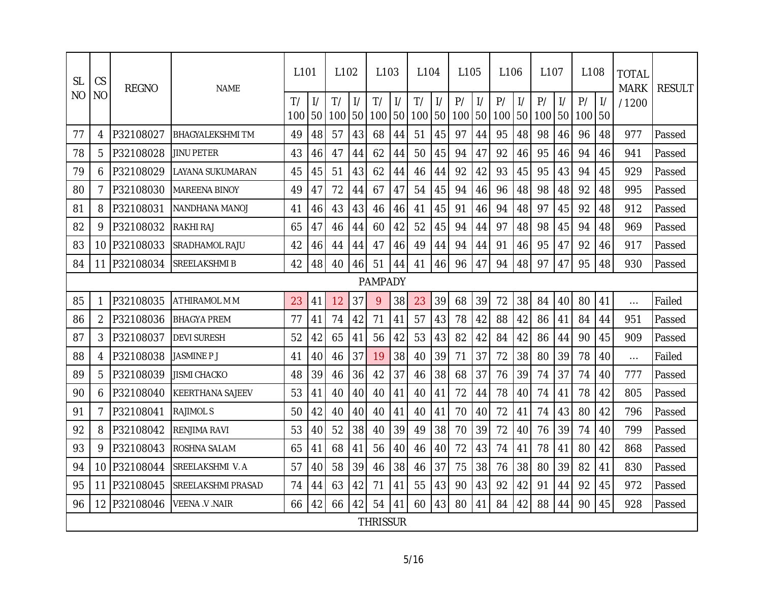| <b>SL</b> | CS             | <b>REGNO</b> | <b>NAME</b>             | L <sub>101</sub> |                                  | L <sub>102</sub> |                     | L <sub>103</sub> |                     | L <sub>104</sub> |                     | L <sub>105</sub> |                     | L <sub>106</sub> |                     | L107         |               | L <sub>108</sub> |    | <b>TOTAL</b><br><b>MARK</b> | <b>RESULT</b> |
|-----------|----------------|--------------|-------------------------|------------------|----------------------------------|------------------|---------------------|------------------|---------------------|------------------|---------------------|------------------|---------------------|------------------|---------------------|--------------|---------------|------------------|----|-----------------------------|---------------|
| <b>NO</b> | <b>NO</b>      |              |                         | T/<br>100        | $\frac{1}{2}$<br>50 <sub>l</sub> | T/<br>100        | $\frac{1}{2}$<br>50 | T/<br>100        | $\frac{1}{2}$<br>50 | T/<br>100        | $\frac{1}{2}$<br>50 | P/<br>100        | $\frac{1}{2}$<br>50 | P/<br>100        | $\frac{1}{2}$<br>50 | P/<br>100 50 | $\frac{1}{2}$ | P/<br>100        | 50 | /1200                       |               |
| 77        | 4              | P32108027    | <b>BHAGYALEKSHMITM</b>  | 49               | 48                               | 57               | 43                  | 68               | 44                  | 51               | 45                  | 97               | 44                  | 95               | 48                  | 98           | 46            | 96               | 48 | 977                         | Passed        |
| 78        | 5              | P32108028    | <b>JINU PETER</b>       | 43               | 46                               | 47               | 44                  | 62               | 44                  | 50               | 45                  | 94               | 47                  | 92               | 46                  | 95           | 46            | 94               | 46 | 941                         | Passed        |
| 79        | 6              | P32108029    | LAYANA SUKUMARAN        | 45               | 45                               | 51               | 43                  | 62               | 44                  | 46               | 44                  | 92               | 42                  | 93               | 45                  | 95           | 43            | 94               | 45 | 929                         | Passed        |
| 80        | $\overline{7}$ | P32108030    | <b>MAREENA BINOY</b>    | 49               | 47                               | 72               | 44                  | 67               | 47                  | 54               | 45                  | 94               | 46                  | 96               | 48                  | 98           | 48            | 92               | 48 | 995                         | Passed        |
| 81        | 8              | P32108031    | NANDHANA MANOJ          | 41               | 46                               | 43               | 43                  | 46               | 46                  | 41               | 45                  | 91               | 46                  | 94               | 48                  | 97           | 45            | 92               | 48 | 912                         | Passed        |
| 82        | 9              | P32108032    | RAKHI RAJ               | 65               | 47                               | 46               | 44                  | 60               | 42                  | 52               | 45                  | 94               | 44                  | 97               | 48                  | 98           | 45            | 94               | 48 | 969                         | Passed        |
| 83        | 10             | P32108033    | SRADHAMOL RAJU          | 42               | 46                               | 44               | 44                  | 47               | 46                  | 49               | 44                  | 94               | 44                  | 91               | 46                  | 95           | 47            | 92               | 46 | 917                         | Passed        |
| 84        | 11             | P32108034    | <b>SREELAKSHMIB</b>     | 42               | 48                               | 40               | 46                  | 51               | 44                  | 41               | 46                  | 96               | 47                  | 94               | 48                  | 97           | 47            | 95               | 48 | 930                         | Passed        |
|           |                |              |                         |                  |                                  |                  |                     | <b>PAMPADY</b>   |                     |                  |                     |                  |                     |                  |                     |              |               |                  |    |                             |               |
| 85        | 1              | P32108035    | ATHIRAMOL M M           | 23               | 41                               | 12               | 37                  | 9                | 38                  | 23               | 39                  | 68               | 39                  | 72               | 38                  | 84           | 40            | 80               | 41 | $\cdots$                    | Failed        |
| 86        | $\overline{2}$ | P32108036    | <b>BHAGYA PREM</b>      | 77               | 41                               | 74               | 42                  | 71               | 41                  | 57               | 43                  | 78               | 42                  | 88               | 42                  | 86           | 41            | 84               | 44 | 951                         | Passed        |
| 87        | 3              | P32108037    | <b>DEVI SURESH</b>      | 52               | 42                               | 65               | 41                  | 56               | 42                  | 53               | 43                  | 82               | 42                  | 84               | 42                  | 86           | 44            | 90               | 45 | 909                         | Passed        |
| 88        | 4              | P32108038    | <b>JASMINE P J</b>      | 41               | 40                               | 46               | 37                  | 19               | 38                  | 40               | 39                  | 71               | 37                  | 72               | 38                  | 80           | 39            | 78               | 40 | $\ldots$                    | Failed        |
| 89        | 5              | P32108039    | <b>JISMI CHACKO</b>     | 48               | 39                               | 46               | 36                  | 42               | 37                  | 46               | 38                  | 68               | 37                  | 76               | 39                  | 74           | 37            | 74               | 40 | 777                         | Passed        |
| 90        | 6              | P32108040    | <b>KEERTHANA SAJEEV</b> | 53               | 41                               | 40               | 40                  | 40               | 41                  | 40               | 41                  | 72               | 44                  | 78               | 40                  | 74           | 41            | 78               | 42 | 805                         | Passed        |
| 91        | $\overline{7}$ | P32108041    | <b>RAJIMOLS</b>         | 50               | 42                               | 40               | 40                  | 40               | 41                  | 40               | 41                  | 70               | 40                  | 72               | 41                  | 74           | 43            | 80               | 42 | 796                         | Passed        |
| 92        | 8              | P32108042    | <b>RENJIMA RAVI</b>     | 53               | 40                               | 52               | 38                  | 40               | 39                  | 49               | 38                  | 70               | 39                  | 72               | 40                  | 76           | 39            | 74               | 40 | 799                         | Passed        |
| 93        | 9              | P32108043    | ROSHNA SALAM            | 65               | 41                               | 68               | 41                  | 56               | 40                  | 46               | 40                  | 72               | 43                  | 74               | 41                  | 78           | 41            | 80               | 42 | 868                         | Passed        |
| 94        | 10             | P32108044    | SREELAKSHMI V.A         | 57               | 40                               | 58               | 39                  | 46               | 38                  | 46               | 37                  | 75               | 38                  | 76               | 38                  | 80           | 39            | 82               | 41 | 830                         | Passed        |
| 95        | 11             | P32108045    | SREELAKSHMI PRASAD      | 74               | 44                               | 63               | 42                  | 71               | 41                  | 55               | 43                  | 90               | 43                  | 92               | 42                  | 91           | 44            | 92               | 45 | 972                         | Passed        |
| 96        | 12             | P32108046    | <b>VEENA V NAIR</b>     | 66               | 42                               | 66               | 42                  | 54               | 41                  | 60               | 43                  | 80               | 41                  | 84               | 42                  | 88           | 44            | 90               | 45 | 928                         | Passed        |
|           |                |              |                         |                  |                                  |                  |                     | <b>THRISSUR</b>  |                     |                  |                     |                  |                     |                  |                     |              |               |                  |    |                             |               |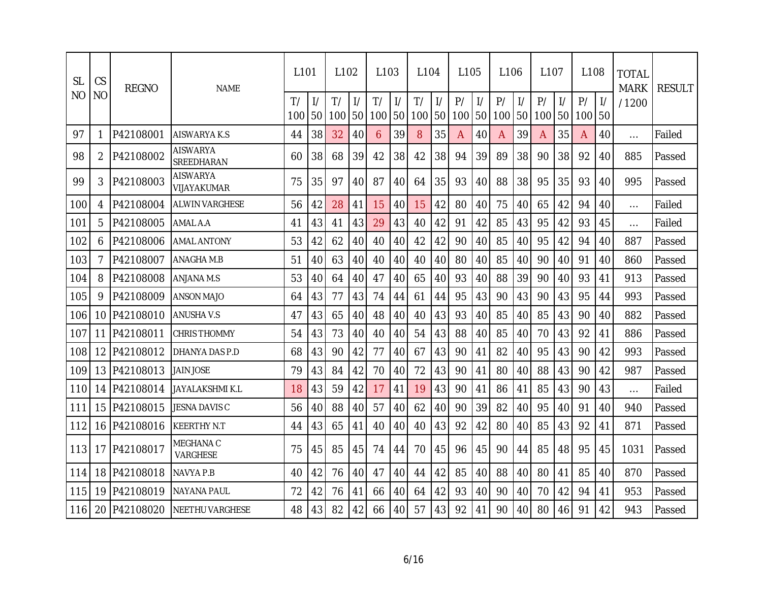| <b>SL</b> | CS             | <b>REGNO</b> | <b>NAME</b>             | L <sub>101</sub> |                     | L <sub>102</sub> |                     | L <sub>103</sub> |                     | L <sub>104</sub> |                                  | L <sub>105</sub> |                     | L <sub>106</sub> |                     | L <sub>107</sub> |               | L108      |                      | <b>TOTAL</b><br><b>MARK</b> | <b>RESULT</b> |
|-----------|----------------|--------------|-------------------------|------------------|---------------------|------------------|---------------------|------------------|---------------------|------------------|----------------------------------|------------------|---------------------|------------------|---------------------|------------------|---------------|-----------|----------------------|-----------------------------|---------------|
| NΟ        | N <sub>O</sub> |              |                         | T/<br>100        | $\frac{1}{2}$<br>50 | T/<br>100        | $\frac{1}{2}$<br>50 | T/<br>100        | $\frac{1}{2}$<br>50 | T/<br>100        | $\frac{1}{2}$<br>50 <sub>1</sub> | P/<br>100        | $\frac{1}{2}$<br>50 | P/<br>100        | $\frac{1}{2}$<br>50 | P/<br>100 50     | $\frac{1}{2}$ | P/<br>100 | $\frac{1}{2}$<br>150 | /1200                       |               |
| 97        | 1              | P42108001    | AISWARYA K.S            | 44               | 38                  | 32               | 40                  | 6                | 39                  | 8                | 35                               | A                | 40                  | A                | 39                  | A                | 35            | A         | 40                   | $\cdots$                    | Failed        |
| 98        | 2              | P42108002    | AISWARYA<br>SREEDHARAN  | 60               | 38                  | 68               | 39                  | 42               | 38                  | 42               | 38                               | 94               | 39                  | 89               | 38                  | 90               | 38            | 92        | 40                   | 885                         | Passed        |
| 99        | 3              | P42108003    | AISWARYA<br>VIJAYAKUMAR | 75               | 35                  | 97               | 40                  | 87               | 40                  | 64               | 35                               | 93               | 40                  | 88               | 38                  | 95               | 35            | 93        | 40                   | 995                         | Passed        |
| 100       | 4              | P42108004    | <b>ALWIN VARGHESE</b>   | 56               | 42                  | 28               | 41                  | 15               | 40                  | 15               | 42                               | 80               | 40                  | 75               | 40                  | 65               | 42            | 94        | 40                   | $\cdots$                    | Failed        |
| 101       | 5              | P42108005    | AMAL A.A                | 41               | 43                  | 41               | 43                  | 29               | 43                  | 40               | 42                               | 91               | 42                  | 85               | 43                  | 95               | 42            | 93        | 45                   | $\cdots$                    | Failed        |
| 102       | 6              | P42108006    | <b>AMAL ANTONY</b>      | 53               | 42                  | 62               | 40                  | 40               | 40                  | 42               | 42                               | 90               | 40                  | 85               | 40                  | 95               | 42            | 94        | 40                   | 887                         | Passed        |
| 103       | 7              | P42108007    | ANAGHA M.B              | 51               | 40                  | 63               | 40                  | 40               | 40                  | 40               | 40                               | 80               | 40                  | 85               | 40                  | 90               | 40            | 91        | 40                   | 860                         | Passed        |
| 104       | 8              | P42108008    | ANJANA M.S              | 53               | 40                  | 64               | 40                  | 47               | 40                  | 65               | 40                               | 93               | 40                  | 88               | 39                  | 90               | 40            | 93        | 41                   | 913                         | Passed        |
| 105       | 9              | P42108009    | <b>ANSON MAJO</b>       | 64               | 43                  | 77               | 43                  | 74               | 44                  | 61               | 44                               | 95               | 43                  | 90               | 43                  | 90               | 43            | 95        | 44                   | 993                         | Passed        |
| 106       | 10             | P42108010    | <b>ANUSHAV.S</b>        | 47               | 43                  | 65               | 40                  | 48               | 40                  | 40               | 43                               | 93               | 40                  | 85               | 40                  | 85               | 43            | 90        | 40                   | 882                         | Passed        |
| 107       | 11             | P42108011    | CHRIS THOMMY            | 54               | 43                  | 73               | 40                  | 40               | 40                  | 54               | 43                               | 88               | 40                  | 85               | 40                  | 70               | 43            | 92        | 41                   | 886                         | Passed        |
| 108       | 12             | P42108012    | DHANYA DAS P.D          | 68               | 43                  | 90               | 42                  | 77               | 40                  | 67               | 43                               | 90               | 41                  | 82               | 40                  | 95               | 43            | 90        | 42                   | 993                         | Passed        |
| 109       | 13             | P42108013    | JAIN JOSE               | 79               | 43                  | 84               | 42                  | 70               | 40                  | 72               | 43                               | 90               | 41                  | 80               | 40                  | 88               | 43            | 90        | 42                   | 987                         | Passed        |
| 110       | 14             | P42108014    | JAYALAKSHMI K.L         | 18               | 43                  | 59               | 42                  | 17               | 41                  | 19               | 43                               | 90               | 41                  | 86               | 41                  | 85               | 43            | 90        | 43                   | $\cdots$                    | Failed        |
| 111       | 15             | P42108015    | JESNA DAVIS C           | 56               | 40                  | 88               | 40                  | 57               | 40                  | 62               | 40                               | 90               | 39                  | 82               | 40                  | 95               | 40            | 91        | 40                   | 940                         | Passed        |
| 112       | 16             | P42108016    | <b>KEERTHY N.T</b>      | 44               | 43                  | 65               | 41                  | 40               | 40                  | 40               | 43                               | 92               | 42                  | 80               | 40                  | 85               | 43            | 92        | 41                   | 871                         | Passed        |
| 113       | 17             | P42108017    | MEGHANA C<br>VARGHESE   | 75               | 45                  | 85               | 45                  | 74               | 44                  | 70               | 45                               | 96               | 45                  | 90               | 44                  | 85               | 48            | 95        | 45                   | 1031                        | Passed        |
| 114       | 18             | P42108018    | NAVYA P.B               | 40               | 42                  | 76               | 40                  | 47               | 40                  | 44               | 42                               | 85               | 40                  | 88               | 40                  | 80               | 41            | 85        | 40                   | 870                         | Passed        |
| 115       | 19             | P42108019    | NAYANA PAUL             | 72               | 42                  | 76               | 41                  | 66               | 40                  | 64               | 42                               | 93               | 40                  | 90               | 40                  | 70               | 42            | 94        | 41                   | 953                         | Passed        |
| 116       | 20             | P42108020    | <b>NEETHU VARGHESE</b>  | 48               | 43                  | 82               | 42                  | 66               | 40                  | 57               | 43                               | 92               | 41                  | 90               | 40                  | 80               | 46            | 91        | 42                   | 943                         | Passed        |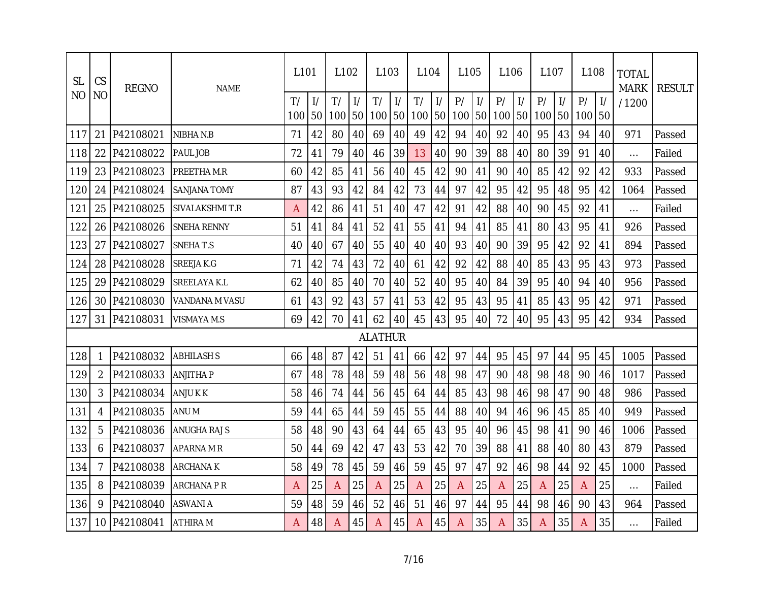| <b>SL</b>      | CS        | <b>REGNO</b> | <b>NAME</b>         | L <sub>101</sub> |                     | L <sub>102</sub> |                     | L <sub>103</sub> |                     | L <sub>104</sub> |                     | L <sub>105</sub> |                     | L <sub>106</sub> |                     | L <sub>107</sub> |               | L <sub>108</sub> |                     | <b>TOTAL</b><br><b>MARK</b> | <b>RESULT</b> |
|----------------|-----------|--------------|---------------------|------------------|---------------------|------------------|---------------------|------------------|---------------------|------------------|---------------------|------------------|---------------------|------------------|---------------------|------------------|---------------|------------------|---------------------|-----------------------------|---------------|
| N <sub>O</sub> | <b>NO</b> |              |                     | T/<br>100        | $\frac{1}{2}$<br>50 | T/<br>100        | $\frac{1}{2}$<br>50 | T/<br>100        | $\frac{1}{2}$<br>50 | T/<br>100        | $\frac{1}{2}$<br>50 | P/<br>100        | $\frac{1}{2}$<br>50 | P/<br>100        | $\frac{1}{2}$<br>50 | P/<br>100 50     | $\frac{1}{2}$ | P/<br>100        | $\frac{1}{2}$<br>50 | /1200                       |               |
| 117            | 21        | P42108021    | NIBHA N.B           | 71               | 42                  | 80               | 40                  | 69               | 40                  | 49               | 42                  | 94               | 40                  | 92               | 40                  | 95               | 43            | 94               | 40                  | 971                         | Passed        |
| 118            | 22        | P42108022    | PAUL JOB            | 72               | 41                  | 79               | 40                  | 46               | 39                  | 13               | 40                  | 90               | 39                  | 88               | 40                  | 80               | 39            | 91               | 40                  | $\cdots$                    | Failed        |
| 119            | 23        | P42108023    | PREETHA M.R         | 60               | 42                  | 85               | 41                  | 56               | 40                  | 45               | 42                  | 90               | 41                  | 90               | 40                  | 85               | 42            | 92               | 42                  | 933                         | Passed        |
| 120            | 24        | P42108024    | <b>SANJANA TOMY</b> | 87               | 43                  | 93               | 42                  | 84               | 42                  | 73               | 44                  | 97               | 42                  | 95               | 42                  | 95               | 48            | 95               | 42                  | 1064                        | Passed        |
| 121            | 25        | P42108025    | SIVALAKSHMI T.R     | Α                | 42                  | 86               | 41                  | 51               | 40                  | 47               | 42                  | 91               | 42                  | 88               | 40                  | 90               | 45            | 92               | 41                  | $\cdots$                    | Failed        |
| 122            | 26        | P42108026    | <b>SNEHA RENNY</b>  | 51               | 41                  | 84               | 41                  | 52               | 41                  | 55               | 41                  | 94               | 41                  | 85               | 41                  | 80               | 43            | 95               | 41                  | 926                         | Passed        |
| 123            | 27        | P42108027    | SNEHAT.S            | 40               | 40                  | 67               | 40                  | 55               | 40                  | 40               | 40                  | 93               | 40                  | 90               | 39                  | 95               | 42            | 92               | 41                  | 894                         | Passed        |
| 124            | 28        | P42108028    | SREEJA K.G          | 71               | 42                  | 74               | 43                  | 72               | 40                  | 61               | 42                  | 92               | 42                  | 88               | 40                  | 85               | 43            | 95               | 43                  | 973                         | Passed        |
| 125            | 29        | P42108029    | SREELAYA K.L        | 62               | 40                  | 85               | 40                  | 70               | 40                  | 52               | 40                  | 95               | 40                  | 84               | 39                  | 95               | 40            | 94               | 40                  | 956                         | Passed        |
| 126            | 30        | P42108030    | VANDANA M VASU      | 61               | 43                  | 92               | 43                  | 57               | 41                  | 53               | 42                  | 95               | 43                  | 95               | 41                  | 85               | 43            | 95               | 42                  | 971                         | Passed        |
| 127            | 31        | P42108031    | VISMAYA M.S         | 69               | 42                  | 70               | 41                  | 62               | 40                  | 45               | 43                  | 95               | 40                  | 72               | 40                  | 95               | 43            | 95               | 42                  | 934                         | Passed        |
|                |           |              |                     |                  |                     |                  |                     | <b>ALATHUR</b>   |                     |                  |                     |                  |                     |                  |                     |                  |               |                  |                     |                             |               |
| 128            | 1         | P42108032    | <b>ABHILASH S</b>   | 66               | 48                  | 87               | 42                  | 51               | 41                  | 66               | 42                  | 97               | 44                  | 95               | 45                  | 97               | 44            | 95               | 45                  | 1005                        | Passed        |
| 129            | 2         | P42108033    | ANJITHA P           | 67               | 48                  | 78               | 48                  | 59               | 48                  | 56               | 48                  | 98               | 47                  | 90               | 48                  | 98               | 48            | 90               | 46                  | 1017                        | Passed        |
| 130            | 3         | P42108034    | ANJU K K            | 58               | 46                  | 74               | 44                  | 56               | 45                  | 64               | 44                  | 85               | 43                  | 98               | 46                  | 98               | 47            | 90               | 48                  | 986                         | Passed        |
| 131            | 4         | P42108035    | ANU M               | 59               | 44                  | 65               | 44                  | 59               | 45                  | 55               | 44                  | 88               | 40                  | 94               | 46                  | 96               | 45            | 85               | 40                  | 949                         | Passed        |
| 132            | 5         | P42108036    | ANUGHA RAJ S        | 58               | 48                  | 90               | 43                  | 64               | 44                  | 65               | 43                  | 95               | 40                  | 96               | 45                  | 98               | 41            | 90               | 46                  | 1006                        | Passed        |
| 133            | 6         | P42108037    | APARNA M R          | 50               | 44                  | 69               | 42                  | 47               | 43                  | 53               | 42                  | 70               | 39                  | 88               | 41                  | 88               | 40            | 80               | 43                  | 879                         | Passed        |
| 134            | 7         | P42108038    | ARCHANA K           | 58               | 49                  | 78               | 45                  | 59               | 46                  | 59               | 45                  | 97               | 47                  | 92               | 46                  | 98               | 44            | 92               | 45                  | 1000                        | Passed        |
| 135            | 8         | P42108039    | ARCHANA P R         | A                | 25                  | Α                | 25                  | A                | 25                  | Α                | 25                  | A                | 25                  | A                | 25                  | Α                | 25            | A                | 25                  | $\cdots$                    | Failed        |
| 136            | 9         | P42108040    | ASWANI A            | 59               | 48                  | 59               | 46                  | 52               | 46                  | 51               | 46                  | 97               | 44                  | 95               | 44                  | 98               | 46            | 90               | 43                  | 964                         | Passed        |
| 137            | 10        | P42108041    | ATHIRA M            | Α                | 48                  | A                | 45                  | A                | 45                  | A                | 45                  | A                | 35                  | A                | 35                  | Α                | 35            | Α                | 35                  | .                           | Failed        |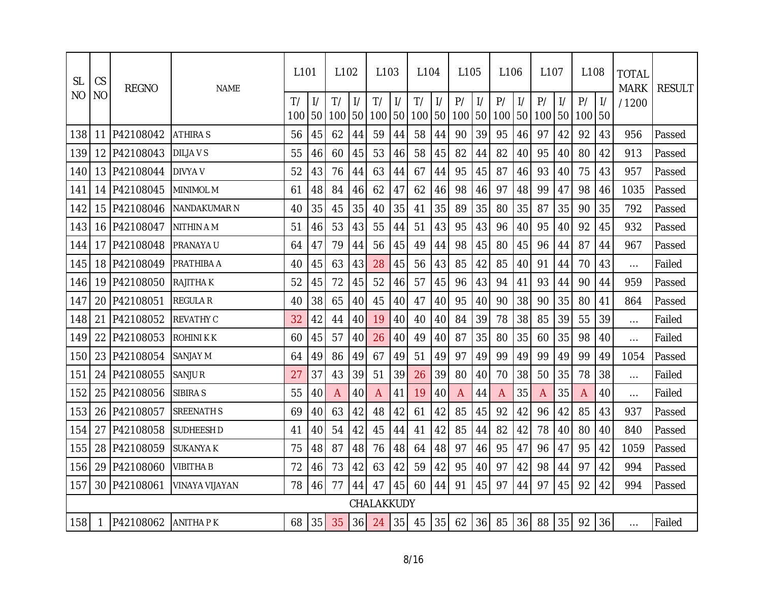| <b>SL</b> | CS        | <b>REGNO</b> | <b>NAME</b>       | L <sub>101</sub> |                     | L <sub>102</sub> |                     | L <sub>103</sub> |                     | L <sub>104</sub> |                     | L <sub>105</sub> |                     | L <sub>106</sub> |                     | L <sub>107</sub> |               | L <sub>108</sub> |    | <b>TOTAL</b><br><b>MARK</b> | <b>RESULT</b> |
|-----------|-----------|--------------|-------------------|------------------|---------------------|------------------|---------------------|------------------|---------------------|------------------|---------------------|------------------|---------------------|------------------|---------------------|------------------|---------------|------------------|----|-----------------------------|---------------|
| NO.       | <b>NO</b> |              |                   | T/<br>100        | $\frac{1}{2}$<br>50 | T/<br>100        | $\frac{1}{2}$<br>50 | T/<br>100        | $\frac{1}{2}$<br>50 | T/<br>100        | $\frac{1}{2}$<br>50 | P/<br>100        | $\frac{1}{2}$<br>50 | P/<br>100        | $\frac{1}{2}$<br>50 | P/<br>100 50     | $\frac{1}{2}$ | P/<br>100        | 50 | /1200                       |               |
| 138       | 11        | P42108042    | <b>ATHIRAS</b>    | 56               | 45                  | 62               | 44                  | 59               | 44                  | 58               | 44                  | 90               | 39                  | 95               | 46                  | 97               | 42            | 92               | 43 | 956                         | Passed        |
| 139       | 12        | P42108043    | <b>DILJAVS</b>    | 55               | 46                  | 60               | 45                  | 53               | 46                  | 58               | 45                  | 82               | 44                  | 82               | 40                  | 95               | 40            | 80               | 42 | 913                         | Passed        |
| 140       | 13        | P42108044    | <b>DIVYA V</b>    | 52               | 43                  | 76               | 44                  | 63               | 44                  | 67               | 44                  | 95               | 45                  | 87               | 46                  | 93               | 40            | 75               | 43 | 957                         | Passed        |
| 141       | 14        | P42108045    | <b>MINIMOL M</b>  | 61               | 48                  | 84               | 46                  | 62               | 47                  | 62               | 46                  | 98               | 46                  | 97               | 48                  | 99               | 47            | 98               | 46 | 1035                        | Passed        |
| 142       | 15        | P42108046    | NANDAKUMAR N      | 40               | 35                  | 45               | 35                  | 40               | 35                  | 41               | 35                  | 89               | 35                  | 80               | 35                  | 87               | 35            | 90               | 35 | 792                         | Passed        |
| 143       | 16        | P42108047    | NITHIN A M        | 51               | 46                  | 53               | 43                  | 55               | 44                  | 51               | 43                  | 95               | 43                  | 96               | 40                  | 95               | 40            | 92               | 45 | 932                         | Passed        |
| 144       | 17        | P42108048    | PRANAYA U         | 64               | 47                  | 79               | 44                  | 56               | 45                  | 49               | 44                  | 98               | 45                  | 80               | 45                  | 96               | 44            | 87               | 44 | 967                         | Passed        |
| 145       | 18        | P42108049    | <b>PRATHIBA A</b> | 40               | 45                  | 63               | 43                  | 28               | 45                  | 56               | 43                  | 85               | 42                  | 85               | 40                  | 91               | 44            | 70               | 43 | $\cdots$                    | Failed        |
| 146       | 19        | P42108050    | <b>RAJITHA K</b>  | 52               | 45                  | 72               | 45                  | 52               | 46                  | 57               | 45                  | 96               | 43                  | 94               | 41                  | 93               | 44            | 90               | 44 | 959                         | Passed        |
| 147       | 20        | P42108051    | <b>REGULAR</b>    | 40               | 38                  | 65               | 40                  | 45               | 40                  | 47               | 40                  | 95               | 40                  | 90               | 38                  | 90               | 35            | 80               | 41 | 864                         | Passed        |
| 148       | 21        | P42108052    | <b>REVATHY C</b>  | 32               | 42                  | 44               | 40                  | 19               | 40                  | 40               | 40                  | 84               | 39                  | 78               | 38                  | 85               | 39            | 55               | 39 | $\cdots$                    | Failed        |
| 149       | 22        | P42108053    | ROHINI K K        | 60               | 45                  | 57               | 40                  | 26               | 40                  | 49               | 40                  | 87               | 35                  | 80               | 35                  | 60               | 35            | 98               | 40 | $\cdots$                    | Failed        |
| 150       | 23        | P42108054    | SANJAY M          | 64               | 49                  | 86               | 49                  | 67               | 49                  | 51               | 49                  | 97               | 49                  | 99               | 49                  | 99               | 49            | 99               | 49 | 1054                        | Passed        |
| 151       | 24        | P42108055    | SANJU R           | 27               | 37                  | 43               | 39                  | 51               | 39                  | 26               | 39                  | 80               | 40                  | 70               | 38                  | 50               | 35            | 78               | 38 | $\cdots$                    | Failed        |
| 152       | 25        | P42108056    | SIBIRA S          | 55               | 40                  | A                | 40                  | $\overline{A}$   | 41                  | 19               | 40                  | A                | 44                  | $\mathsf{A}$     | 35                  | A                | 35            | A                | 40 | $\cdots$                    | Failed        |
| 153       | 26        | P42108057    | <b>SREENATH S</b> | 69               | 40                  | 63               | 42                  | 48               | 42                  | 61               | 42                  | 85               | 45                  | 92               | 42                  | 96               | 42            | 85               | 43 | 937                         | Passed        |
| 154       | 27        | P42108058    | SUDHEESH D        | 41               | 40                  | 54               | 42                  | 45               | 44                  | 41               | 42                  | 85               | 44                  | 82               | 42                  | 78               | 40            | 80               | 40 | 840                         | Passed        |
| 155       | 28        | P42108059    | SUKANYA K         | 75               | 48                  | 87               | 48                  | 76               | 48                  | 64               | 48                  | 97               | 46                  | 95               | 47                  | 96               | 47            | 95               | 42 | 1059                        | Passed        |
| 156       | 29        | P42108060    | <b>VIBITHA B</b>  | 72               | 46                  | 73               | 42                  | 63               | 42                  | 59               | 42                  | 95               | 40                  | 97               | 42                  | 98               | 44            | 97               | 42 | 994                         | Passed        |
| 157       |           | 30 P42108061 | VINAYA VIJAYAN    | 78               | 46                  | 77               | 44                  | 47               | 45                  | 60               | 44                  | 91               | 45                  | 97               | 44                  | 97               | 45            | 92               | 42 | 994                         | Passed        |
|           |           |              |                   |                  |                     |                  |                     | CHALAKKUDY       |                     |                  |                     |                  |                     |                  |                     |                  |               |                  |    |                             |               |
| 158       | 1         | P42108062    | <b>ANITHAPK</b>   | 68               | 35                  | 35               | 36                  | 24               | 35                  | 45               | 35                  | 62               | 36                  | 85               | 36                  | 88               | 35            | 92               | 36 | $\cdots$                    | Failed        |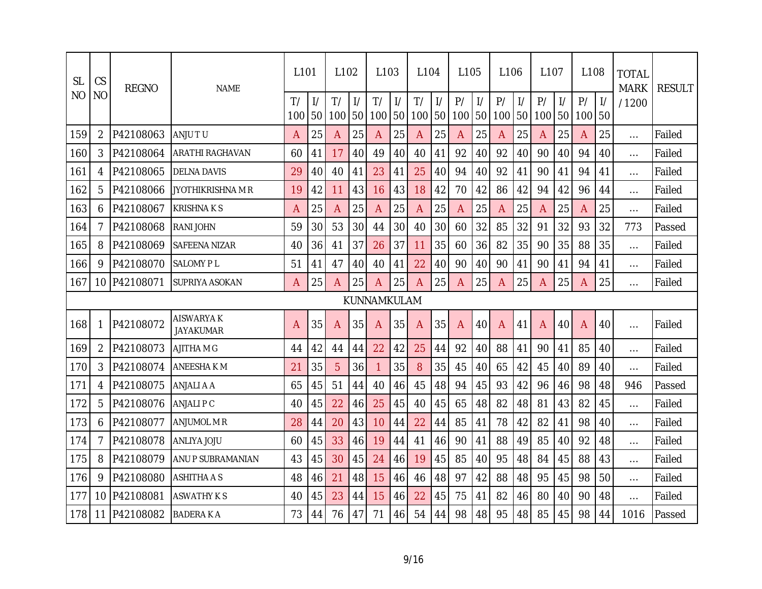| <b>SL</b> | CS             | <b>REGNO</b> | <b>NAME</b>                   | L <sub>101</sub> |                                  | L <sub>102</sub> |                     | L <sub>103</sub> |                     | L <sub>104</sub> |                     | L <sub>105</sub> |                     | L <sub>106</sub> |                     | L <sub>107</sub> |               | L <sub>108</sub> |                     | <b>TOTAL</b><br><b>MARK</b> | <b>RESULT</b> |
|-----------|----------------|--------------|-------------------------------|------------------|----------------------------------|------------------|---------------------|------------------|---------------------|------------------|---------------------|------------------|---------------------|------------------|---------------------|------------------|---------------|------------------|---------------------|-----------------------------|---------------|
| NO        | <b>NO</b>      |              |                               | T/<br>100        | $\frac{1}{2}$<br>50 <sub>l</sub> | T/<br>100        | $\frac{1}{2}$<br>50 | T/<br>100        | $\frac{1}{2}$<br>50 | T/<br>100        | $\frac{1}{2}$<br>50 | P/<br>100        | $\frac{1}{2}$<br>50 | P/<br>100        | $\frac{1}{2}$<br>50 | P/<br>100 50     | $\frac{1}{2}$ | P/<br>100        | $\frac{1}{2}$<br>50 | /1200                       |               |
| 159       | $\overline{2}$ | P42108063    | ANJU TU                       | A                | 25                               | A                | 25                  | A                | 25                  | A                | 25                  | A                | 25                  | A                | 25                  | A                | 25            | A                | 25                  | $\cdots$                    | Failed        |
| 160       | 3              | P42108064    | <b>ARATHI RAGHAVAN</b>        | 60               | 41                               | 17               | 40                  | 49               | 40                  | 40               | 41                  | 92               | 40                  | 92               | 40                  | 90               | 40            | 94               | 40                  | $\cdots$                    | Failed        |
| 161       | 4              | P42108065    | <b>DELNA DAVIS</b>            | 29               | 40                               | 40               | 41                  | 23               | 41                  | 25               | 40                  | 94               | 40                  | 92               | 41                  | 90               | 41            | 94               | 41                  | $\cdots$                    | Failed        |
| 162       | 5              | P42108066    | JYOTHIKRISHNA M R             | 19               | 42                               | 11               | 43                  | 16               | 43                  | 18               | 42                  | 70               | 42                  | 86               | 42                  | 94               | 42            | 96               | 44                  | $\cdots$                    | Failed        |
| 163       | 6              | P42108067    | <b>KRISHNAKS</b>              | A                | 25                               | Α                | 25                  | A                | 25                  | A                | 25                  | A                | 25                  | A                | 25                  | A                | 25            | A                | 25                  | $\ldots$                    | Failed        |
| 164       | 7              | P42108068    | <b>RANIJOHN</b>               | 59               | 30                               | 53               | 30                  | 44               | 30                  | 40               | 30                  | 60               | 32                  | 85               | 32                  | 91               | 32            | 93               | 32                  | 773                         | Passed        |
| 165       | 8              | P42108069    | SAFEENA NIZAR                 | 40               | 36                               | 41               | 37                  | 26               | 37                  | 11               | 35                  | 60               | 36                  | 82               | 35                  | 90               | 35            | 88               | 35                  | $\ldots$                    | Failed        |
| 166       | 9              | P42108070    | <b>SALOMY PL</b>              | 51               | 41                               | 47               | 40                  | 40               | 41                  | 22               | 40                  | 90               | 40                  | 90               | 41                  | 90               | 41            | 94               | 41                  | $\cdots$                    | Failed        |
| 167       | 10             | P42108071    | SUPRIYA ASOKAN                | Α                | 25                               | Α                | 25                  | A                | 25                  | Α                | 25                  | A                | 25                  | A                | 25                  | Α                | 25            | Α                | 25                  | $\cdots$                    | Failed        |
|           |                |              |                               |                  |                                  |                  |                     | KUNNAMKULAM      |                     |                  |                     |                  |                     |                  |                     |                  |               |                  |                     |                             |               |
| 168       | 1              | P42108072    | <b>AISWARYAK</b><br>JAYAKUMAR | Α                | 35                               | Α                | 35                  | $\overline{A}$   | 35                  | A                | 35                  | Α                | 40                  | $\overline{A}$   | 41                  | Α                | 40            | $\overline{A}$   | 40                  | $\cdots$                    | Failed        |
| 169       | $\overline{2}$ | P42108073    | AJITHA M G                    | 44               | 42                               | 44               | 44                  | 22               | 42                  | 25               | 44                  | 92               | 40                  | 88               | 41                  | 90               | 41            | 85               | 40                  | $\cdots$                    | Failed        |
| 170       | 3              | P42108074    | ANEESHA K M                   | 21               | 35                               | 5                | 36                  | $\mathbf{1}$     | 35                  | 8                | 35                  | 45               | 40                  | 65               | 42                  | 45               | 40            | 89               | 40                  | $\cdots$                    | Failed        |
| 171       | 4              | P42108075    | ANJALI A A                    | 65               | 45                               | 51               | 44                  | 40               | 46                  | 45               | 48                  | 94               | 45                  | 93               | 42                  | 96               | 46            | 98               | 48                  | 946                         | Passed        |
| 172       | 5              | P42108076    | ANJALI P C                    | 40               | 45                               | 22               | 46                  | 25               | 45                  | 40               | 45                  | 65               | 48                  | 82               | 48                  | 81               | 43            | 82               | 45                  | $\cdots$                    | Failed        |
| 173       | 6              | P42108077    | ANJUMOL M R                   | 28               | 44                               | 20               | 43                  | 10               | 44                  | 22               | 44                  | 85               | 41                  | 78               | 42                  | 82               | 41            | 98               | 40                  | $\cdots$                    | Failed        |
| 174       | 7              | P42108078    | ANLIYA JOJU                   | 60               | 45                               | 33               | 46                  | 19               | 44                  | 41               | 46                  | 90               | 41                  | 88               | 49                  | 85               | 40            | 92               | 48                  | $\cdots$                    | Failed        |
| 175       | 8              | P42108079    | ANU P SUBRAMANIAN             | 43               | 45                               | 30               | 45                  | 24               | 46                  | 19               | 45                  | 85               | 40                  | 95               | 48                  | 84               | 45            | 88               | 43                  | $\cdots$                    | Failed        |
| 176       | 9              | P42108080    | <b>ASHITHA A S</b>            | 48               | 46                               | 21               | 48                  | 15               | 46                  | 46               | 48                  | 97               | 42                  | 88               | 48                  | 95               | 45            | 98               | 50                  | $\cdots$                    | Failed        |
| 177       | 10             | P42108081    | <b>ASWATHY K S</b>            | 40               | 45                               | 23               | 44                  | 15               | 46                  | 22               | 45                  | 75               | 41                  | 82               | 46                  | 80               | 40            | 90               | 48                  | $\cdots$                    | Failed        |
| 178       | 11             | P42108082    | <b>BADERAKA</b>               | 73               | 44                               | 76               | 47                  | 71               | 46                  | 54               | 44                  | 98               | 48                  | 95               | 48                  | 85               | 45            | 98               | 44                  | 1016                        | Passed        |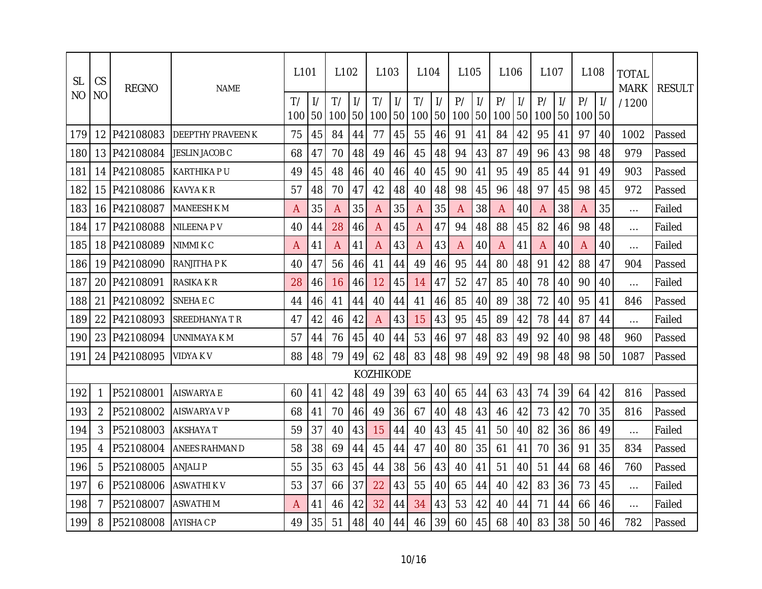| <b>SL</b>      | CS             | <b>REGNO</b> | <b>NAME</b>              | L <sub>101</sub> |    | L <sub>102</sub> |                     | L <sub>103</sub> |                     | L <sub>104</sub> |                     | L <sub>105</sub> |                     | L <sub>106</sub> |                     | L <sub>107</sub> |               | L <sub>108</sub> |    | <b>TOTAL</b><br><b>MARK</b> | <b>RESULT</b> |
|----------------|----------------|--------------|--------------------------|------------------|----|------------------|---------------------|------------------|---------------------|------------------|---------------------|------------------|---------------------|------------------|---------------------|------------------|---------------|------------------|----|-----------------------------|---------------|
| N <sub>O</sub> | N <sub>O</sub> |              |                          | T/<br>100        | 50 | T/<br>100        | $\frac{1}{2}$<br>50 | T/<br>100        | $\frac{1}{2}$<br>50 | T/<br>100        | $\frac{1}{2}$<br>50 | P/<br>100        | $\frac{1}{2}$<br>50 | P/<br>100        | $\frac{1}{2}$<br>50 | P/<br>100 50     | $\frac{1}{2}$ | P/<br>100        | 50 | /1200                       |               |
| 179            | 12             | P42108083    | <b>DEEPTHY PRAVEEN K</b> | 75               | 45 | 84               | 44                  | 77               | 45                  | 55               | 46                  | 91               | 41                  | 84               | 42                  | 95               | 41            | 97               | 40 | 1002                        | Passed        |
| 180            | 13             | P42108084    | JESLIN JACOB C           | 68               | 47 | 70               | 48                  | 49               | 46                  | 45               | 48                  | 94               | 43                  | 87               | 49                  | 96               | 43            | 98               | 48 | 979                         | Passed        |
| 181            | 14             | P42108085    | <b>KARTHIKAPU</b>        | 49               | 45 | 48               | 46                  | 40               | 46                  | 40               | 45                  | 90               | 41                  | 95               | 49                  | 85               | 44            | 91               | 49 | 903                         | Passed        |
| 182            | 15             | P42108086    | KAVYA K R                | 57               | 48 | 70               | 47                  | 42               | 48                  | 40               | 48                  | 98               | 45                  | 96               | 48                  | 97               | 45            | 98               | 45 | 972                         | Passed        |
| 183            | 16             | P42108087    | <b>MANEESH K M</b>       | A                | 35 | Α                | 35                  | A                | 35                  | A                | 35                  | A                | 38                  | A                | 40                  | Α                | 38            | A                | 35 | $\cdots$                    | Failed        |
| 184            | 17             | P42108088    | NILEENA PV               | 40               | 44 | 28               | 46                  | A                | 45                  | A                | 47                  | 94               | 48                  | 88               | 45                  | 82               | 46            | 98               | 48 | $\cdots$                    | Failed        |
| 185            | 18             | P42108089    | NIMMI K C                | A                | 41 | A                | 41                  | A                | 43                  | A                | 43                  | A                | 40                  | A                | 41                  | А                | 40            | A                | 40 | $\cdots$                    | Failed        |
| 186            | 19             | P42108090    | RANJITHA P K             | 40               | 47 | 56               | 46                  | 41               | 44                  | 49               | 46                  | 95               | 44                  | 80               | 48                  | 91               | 42            | 88               | 47 | 904                         | Passed        |
| 187            | 20             | P42108091    | RASIKA K R               | 28               | 46 | 16               | 46                  | 12               | 45                  | 14               | 47                  | 52               | 47                  | 85               | 40                  | 78               | 40            | 90               | 40 | $\cdots$                    | Failed        |
| 188            | 21             | P42108092    | SNEHA E C                | 44               | 46 | 41               | 44                  | 40               | 44                  | 41               | 46                  | 85               | 40                  | 89               | 38                  | 72               | 40            | 95               | 41 | 846                         | Passed        |
| 189            | 22             | P42108093    | SREEDHANYA T R           | 47               | 42 | 46               | 42                  | A                | 43                  | 15               | 43                  | 95               | 45                  | 89               | 42                  | 78               | 44            | 87               | 44 | $\cdots$                    | Failed        |
| 190            | 23             | P42108094    | UNNIMAYA K M             | 57               | 44 | 76               | 45                  | 40               | 44                  | 53               | 46                  | 97               | 48                  | 83               | 49                  | 92               | 40            | 98               | 48 | 960                         | Passed        |
| 191            | 24             | P42108095    | VIDYA K V                | 88               | 48 | 79               | 49                  | 62               | 48                  | 83               | 48                  | 98               | 49                  | 92               | 49                  | 98               | 48            | 98               | 50 | 1087                        | Passed        |
|                |                |              |                          |                  |    |                  |                     | <b>KOZHIKODE</b> |                     |                  |                     |                  |                     |                  |                     |                  |               |                  |    |                             |               |
| 192            | 1              | P52108001    | <b>AISWARYA E</b>        | 60               | 41 | 42               | 48                  | 49               | 39                  | 63               | 40                  | 65               | 44                  | 63               | 43                  | 74               | 39            | 64               | 42 | 816                         | Passed        |
| 193            | $\overline{2}$ | P52108002    | AISWARYA V P             | 68               | 41 | 70               | 46                  | 49               | 36                  | 67               | 40                  | 48               | 43                  | 46               | 42                  | 73               | 42            | 70               | 35 | 816                         | Passed        |
| 194            | 3              | P52108003    | AKSHAYA T                | 59               | 37 | 40               | 43                  | 15               | 44                  | 40               | 43                  | 45               | 41                  | 50               | 40                  | 82               | 36            | 86               | 49 | $\cdots$                    | Failed        |
| 195            | 4              | P52108004    | ANEES RAHMAN D           | 58               | 38 | 69               | 44                  | 45               | 44                  | 47               | 40                  | 80               | 35                  | 61               | 41                  | 70               | 36            | 91               | 35 | 834                         | Passed        |
| 196            | 5              | P52108005    | <b>ANJALIP</b>           | 55               | 35 | 63               | 45                  | 44               | 38                  | 56               | 43                  | 40               | 41                  | 51               | 40                  | 51               | 44            | 68               | 46 | 760                         | Passed        |
| 197            | 6              | P52108006    | ASWATHI K V              | 53               | 37 | 66               | 37                  | 22               | 43                  | 55               | 40                  | 65               | 44                  | 40               | 42                  | 83               | 36            | 73               | 45 | $\cdots$                    | Failed        |
| 198            | 7              | P52108007    | ASWATHI M                | A                | 41 | 46               | 42                  | 32               | 44                  | 34               | 43                  | 53               | 42                  | 40               | 44                  | 71               | 44            | 66               | 46 | $\cdots$                    | Failed        |
| 199            | 8              | P52108008    | AYISHA C P               | 49               | 35 | 51               | 48                  | 40               | 44                  | 46               | 39                  | 60               | 45                  | 68               | 40                  | 83               | 38            | 50               | 46 | 782                         | Passed        |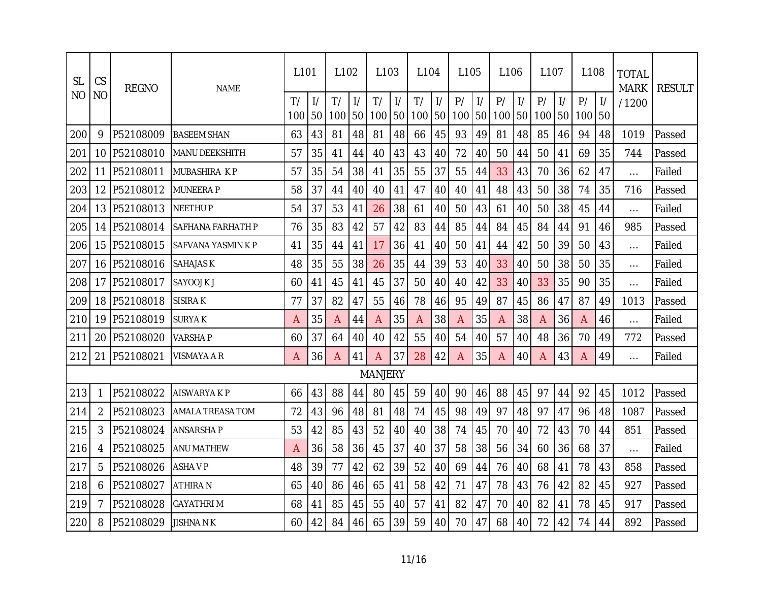| <b>SL</b>      | CS             | <b>REGNO</b> | <b>NAME</b>        | L <sub>101</sub> |    | L <sub>102</sub> |                     | L <sub>103</sub> |                     | L <sub>104</sub> |                     | L <sub>105</sub> |                     | L106      |                     | L <sub>107</sub> |                     | L <sub>108</sub> |                     | <b>TOTAL</b><br><b>MARK</b> | <b>RESULT</b> |
|----------------|----------------|--------------|--------------------|------------------|----|------------------|---------------------|------------------|---------------------|------------------|---------------------|------------------|---------------------|-----------|---------------------|------------------|---------------------|------------------|---------------------|-----------------------------|---------------|
| N <sub>O</sub> | N <sub>O</sub> |              |                    | T/<br>100        | 50 | T/<br>100        | $\frac{1}{2}$<br>50 | T/<br>100        | $\frac{1}{2}$<br>50 | T/<br>100        | $\frac{1}{2}$<br>50 | P/<br>100        | $\frac{1}{2}$<br>50 | P/<br>100 | $\frac{1}{2}$<br>50 | P/<br>100        | $\frac{1}{2}$<br>50 | P/<br>100        | $\frac{1}{2}$<br>50 | /1200                       |               |
| 200            | 9              | P52108009    | <b>BASEEM SHAN</b> | 63               | 43 | 81               | 48                  | 81               | 48                  | 66               | 45                  | 93               | 49                  | 81        | 48                  | 85               | 46                  | 94               | 48                  | 1019                        | Passed        |
| 201            | 10             | P52108010    | MANU DEEKSHITH     | 57               | 35 | 41               | 44                  | 40               | 43                  | 43               | 40                  | 72               | 40                  | 50        | 44                  | 50               | 41                  | 69               | 35                  | 744                         | Passed        |
| 202            | 11             | P52108011    | MUBASHIRA KP       | 57               | 35 | 54               | 38                  | 41               | 35                  | 55               | 37                  | 55               | 44                  | 33        | 43                  | 70               | 36                  | 62               | 47                  | $\cdots$                    | Failed        |
| 203            | 12             | P52108012    | <b>MUNEERA P</b>   | 58               | 37 | 44               | 40                  | 40               | 41                  | 47               | 40                  | 40               | 41                  | 48        | 43                  | 50               | 38                  | 74               | 35                  | 716                         | Passed        |
| 204            | 13             | P52108013    | <b>NEETHUP</b>     | 54               | 37 | 53               | 41                  | 26               | 38                  | 61               | 40                  | 50               | 43                  | 61        | 40                  | 50               | 38                  | 45               | 44                  | $\cdots$                    | Failed        |
| 205            | 14             | P52108014    | SAFHANA FARHATH P  | 76               | 35 | 83               | 42                  | 57               | 42                  | 83               | 44                  | 85               | 44                  | 84        | 45                  | 84               | 44                  | 91               | 46                  | 985                         | Passed        |
| 206            | 15             | P52108015    | SAFVANA YASMIN K P | 41               | 35 | 44               | 41                  | 17               | 36                  | 41               | 40                  | 50               | 41                  | 44        | 42                  | 50               | 39                  | 50               | 43                  | $\cdots$                    | Failed        |
| 207            | 16             | P52108016    | SAHAJAS K          | 48               | 35 | 55               | 38                  | 26               | 35                  | 44               | 39                  | 53               | 40                  | 33        | 40                  | 50               | 38                  | 50               | 35                  | $\cdots$                    | Failed        |
| 208            | 17             | P52108017    | SAYOOJ K J         | 60               | 41 | 45               | 41                  | 45               | 37                  | 50               | 40                  | 40               | 42                  | 33        | 40                  | 33               | 35                  | 90               | 35                  | $\cdots$                    | Failed        |
| 209            | 18             | P52108018    | <b>SISIRA K</b>    | 77               | 37 | 82               | 47                  | 55               | 46                  | 78               | 46                  | 95               | 49                  | 87        | 45                  | 86               | 47                  | 87               | 49                  | 1013                        | Passed        |
| 210            | 19             | P52108019    | <b>SURYAK</b>      | A                | 35 | A                | 44                  | Α                | 35                  | A                | 38                  | A                | 35                  | A         | 38                  | Α                | 36                  | A                | 46                  | $\cdots$                    | Failed        |
| 211            | 20             | P52108020    | <b>VARSHA P</b>    | 60               | 37 | 64               | 40                  | 40               | 42                  | 55               | 40                  | 54               | 40                  | 57        | 40                  | 48               | 36                  | 70               | 49                  | 772                         | Passed        |
| 212            | 21             | P52108021    | VISMAYA A R        | A                | 36 | A                | 41                  | A                | 37                  | 28               | 42                  | A                | 35                  | A         | 40                  | A                | 43                  | A                | 49                  | $\ldots$                    | Failed        |
|                |                |              |                    |                  |    |                  |                     | <b>MANJERY</b>   |                     |                  |                     |                  |                     |           |                     |                  |                     |                  |                     |                             |               |
| 213            | 1              | P52108022    | AISWARYA K P       | 66               | 43 | 88               | 44                  | 80               | 45                  | 59               | 40                  | 90               | 46                  | 88        | 45                  | 97               | 44                  | 92               | 45                  | 1012                        | Passed        |
| 214            | $\overline{2}$ | P52108023    | AMALA TREASA TOM   | 72               | 43 | 96               | 48                  | 81               | 48                  | 74               | 45                  | 98               | 49                  | 97        | 48                  | 97               | 47                  | 96               | 48                  | 1087                        | Passed        |
| 215            | 3              | P52108024    | ANSARSHA P         | 53               | 42 | 85               | 43                  | 52               | 40                  | 40               | 38                  | 74               | 45                  | 70        | 40                  | 72               | 43                  | 70               | 44                  | 851                         | Passed        |
| 216            | 4              | P52108025    | ANU MATHEW         | A                | 36 | 58               | 36                  | 45               | 37                  | 40               | 37                  | 58               | 38                  | 56        | 34                  | 60               | 36                  | 68               | 37                  | $\cdots$                    | Failed        |
| 217            | 5              | P52108026    | <b>ASHAVP</b>      | 48               | 39 | 77               | 42                  | 62               | 39                  | 52               | 40                  | 69               | 44                  | 76        | 40                  | 68               | 41                  | 78               | 43                  | 858                         | Passed        |
| 218            | 6              | P52108027    | ATHIRA N           | 65               | 40 | 86               | 46                  | 65               | 41                  | 58               | 42                  | 71               | 47                  | 78        | 43                  | 76               | 42                  | 82               | 45                  | 927                         | Passed        |
| 219            | 7              | P52108028    | GAYATHRI M         | 68               | 41 | 85               | 45                  | 55               | 40                  | 57               | 41                  | 82               | 47                  | 70        | 40                  | 82               | 41                  | 78               | 45                  | 917                         | Passed        |
| 220            | 8              | P52108029    | <b>JISHNA N K</b>  | 60               | 42 | 84               | 46                  | 65               | 39                  | 59               | 40                  | 70               | 47                  | 68        | 40                  | 72               | 42                  | 74               | 44                  | 892                         | Passed        |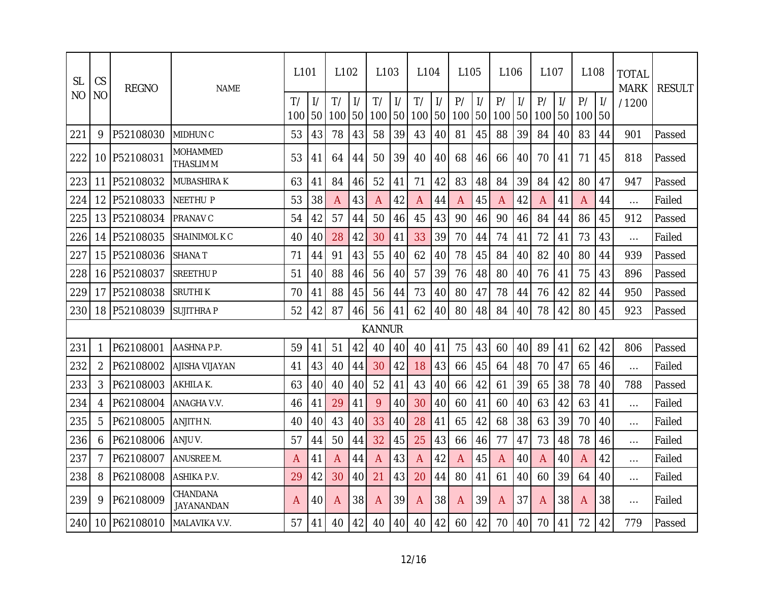| <b>SL</b> | CS             | <b>REGNO</b> | <b>NAME</b>                         | L <sub>101</sub> |    | L <sub>102</sub> |                     | L <sub>103</sub> |                     | L <sub>104</sub> |                     | L <sub>105</sub> |                     | L <sub>106</sub> |                     | L <sub>107</sub> |               | L <sub>108</sub> |    | <b>TOTAL</b><br><b>MARK</b> | <b>RESULT</b> |
|-----------|----------------|--------------|-------------------------------------|------------------|----|------------------|---------------------|------------------|---------------------|------------------|---------------------|------------------|---------------------|------------------|---------------------|------------------|---------------|------------------|----|-----------------------------|---------------|
| NO        | N <sub>O</sub> |              |                                     | T/<br>100        | 50 | T/<br>100        | $\frac{1}{2}$<br>50 | T/<br>100        | $\frac{1}{2}$<br>50 | T/<br>100        | $\frac{1}{2}$<br>50 | P/<br>100        | $\frac{1}{2}$<br>50 | P/<br>100        | $\frac{1}{2}$<br>50 | P/<br>100 50     | $\frac{1}{2}$ | P/<br>100        | 50 | /1200                       |               |
| 221       | 9              | P52108030    | <b>MIDHUNC</b>                      | 53               | 43 | 78               | 43                  | 58               | 39                  | 43               | 40                  | 81               | 45                  | 88               | 39                  | 84               | 40            | 83               | 44 | 901                         | Passed        |
| 222       | 10             | P52108031    | <b>MOHAMMED</b><br><b>THASLIM M</b> | 53               | 41 | 64               | 44                  | 50               | 39                  | 40               | 40                  | 68               | 46                  | 66               | 40                  | 70               | 41            | 71               | 45 | 818                         | Passed        |
| 223       | 11             | P52108032    | <b>MUBASHIRAK</b>                   | 63               | 41 | 84               | 46                  | 52               | 41                  | 71               | 42                  | 83               | 48                  | 84               | 39                  | 84               | 42            | 80               | 47 | 947                         | Passed        |
| 224       | 12             | P52108033    | <b>NEETHU P</b>                     | 53               | 38 | A                | 43                  | A                | 42                  | Α                | 44                  | A                | 45                  | A                | 42                  | A                | 41            | A                | 44 | $\cdots$                    | Failed        |
| 225       | 13             | P52108034    | <b>PRANAV C</b>                     | 54               | 42 | 57               | 44                  | 50               | 46                  | 45               | 43                  | 90               | 46                  | 90               | 46                  | 84               | 44            | 86               | 45 | 912                         | Passed        |
| 226       | 14             | P52108035    | SHAINIMOL K C                       | 40               | 40 | 28               | 42                  | 30               | 41                  | 33               | 39                  | 70               | 44                  | 74               | 41                  | 72               | 41            | 73               | 43 | $\cdots$                    | Failed        |
| 227       | 15             | P52108036    | <b>SHANA T</b>                      | 71               | 44 | 91               | 43                  | 55               | 40                  | 62               | 40                  | 78               | 45                  | 84               | 40                  | 82               | 40            | 80               | 44 | 939                         | Passed        |
| 228       | 16             | P52108037    | <b>SREETHUP</b>                     | 51               | 40 | 88               | 46                  | 56               | 40                  | 57               | 39                  | 76               | 48                  | 80               | 40                  | 76               | 41            | 75               | 43 | 896                         | Passed        |
| 229       | 17             | P52108038    | SRUTHI K                            | 70               | 41 | 88               | 45                  | 56               | 44                  | 73               | 40                  | 80               | 47                  | 78               | 44                  | 76               | 42            | 82               | 44 | 950                         | Passed        |
| 230       | 18             | P52108039    | <b>SUJITHRAP</b>                    | 52               | 42 | 87               | 46                  | 56               | 41                  | 62               | 40                  | 80               | 48                  | 84               | 40                  | 78               | 42            | 80               | 45 | 923                         | Passed        |
|           |                |              |                                     |                  |    |                  |                     | <b>KANNUR</b>    |                     |                  |                     |                  |                     |                  |                     |                  |               |                  |    |                             |               |
| 231       | 1              | P62108001    | AASHNA P.P.                         | 59               | 41 | 51               | 42                  | 40               | 40                  | 40               | 41                  | 75               | 43                  | 60               | 40                  | 89               | 41            | 62               | 42 | 806                         | Passed        |
| 232       | $\overline{2}$ | P62108002    | AJISHA VIJAYAN                      | 41               | 43 | 40               | 44                  | 30               | 42                  | 18               | 43                  | 66               | 45                  | 64               | 48                  | 70               | 47            | 65               | 46 | $\cdots$                    | Failed        |
| 233       | 3              | P62108003    | AKHILA K.                           | 63               | 40 | 40               | 40                  | 52               | 41                  | 43               | 40                  | 66               | 42                  | 61               | 39                  | 65               | 38            | 78               | 40 | 788                         | Passed        |
| 234       | 4              | P62108004    | ANAGHA V.V.                         | 46               | 41 | 29               | 41                  | 9                | 40                  | 30               | 40                  | 60               | 41                  | 60               | 40                  | 63               | 42            | 63               | 41 | $\cdots$                    | Failed        |
| 235       | 5              | P62108005    | ANJITH N.                           | 40               | 40 | 43               | 40                  | 33               | 40                  | 28               | 41                  | 65               | 42                  | 68               | 38                  | 63               | 39            | 70               | 40 | $\cdots$                    | Failed        |
| 236       | 6              | P62108006    | ANJU V.                             | 57               | 44 | 50               | 44                  | 32               | 45                  | 25               | 43                  | 66               | 46                  | 77               | 47                  | 73               | 48            | 78               | 46 | $\cdots$                    | Failed        |
| 237       | 7              | P62108007    | ANUSREE M.                          | A                | 41 | Α                | 44                  | A                | 43                  | A                | 42                  | A                | 45                  | A                | 40                  | Α                | 40            | A                | 42 | $\ldots$                    | Failed        |
| 238       | 8              | P62108008    | ASHIKA P.V.                         | 29               | 42 | 30               | 40                  | 21               | 43                  | 20               | 44                  | 80               | 41                  | 61               | 40                  | 60               | 39            | 64               | 40 | $\cdots$                    | Failed        |
| 239       | 9              | P62108009    | CHANDANA<br>JAYANANDAN              | A                | 40 | A                | 38                  | A                | 39                  | A                | 38                  | A                | 39                  | A                | 37                  | A                | 38            | A                | 38 | $\cdots$                    | Failed        |
| 240       | 10             | P62108010    | MALAVIKA V.V.                       | 57               | 41 | 40               | 42                  | 40               | 40                  | 40               | 42                  | 60               | 42                  | 70               | 40                  | 70               | 41            | 72               | 42 | 779                         | Passed        |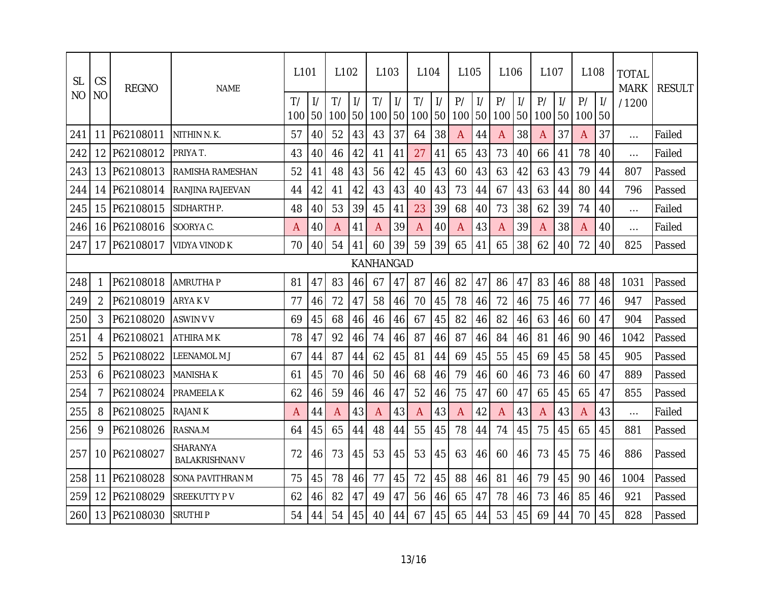| <b>SL</b> | CS             | <b>REGNO</b> | <b>NAME</b>                       | L <sub>101</sub> |                     | L <sub>102</sub> |                     | L <sub>103</sub> |                     | L <sub>104</sub> |                                  | L <sub>105</sub> |                     | L <sub>106</sub> |                     | L <sub>107</sub> |               | L <sub>108</sub> |                     | <b>TOTAL</b><br><b>MARK</b> | <b>RESULT</b> |
|-----------|----------------|--------------|-----------------------------------|------------------|---------------------|------------------|---------------------|------------------|---------------------|------------------|----------------------------------|------------------|---------------------|------------------|---------------------|------------------|---------------|------------------|---------------------|-----------------------------|---------------|
| <b>NO</b> | N <sub>O</sub> |              |                                   | T/<br>100        | $\frac{1}{2}$<br>50 | T/<br>100        | $\frac{1}{2}$<br>50 | T/<br>100        | $\frac{1}{2}$<br>50 | T/<br>100        | $\frac{1}{2}$<br>50 <sup>1</sup> | P/<br>100        | $\frac{1}{2}$<br>50 | P/<br>100        | $\frac{1}{2}$<br>50 | P/<br>100 50     | $\frac{1}{2}$ | P/<br>100        | $\frac{1}{2}$<br>50 | /1200                       |               |
| 241       | 11             | P62108011    | NITHIN N.K.                       | 57               | 40                  | 52               | 43                  | 43               | 37                  | 64               | 38                               | A                | 44                  | A                | 38                  | A                | 37            | A                | 37                  | $\cdots$                    | Failed        |
| 242       | 12             | P62108012    | PRIYA T.                          | 43               | 40                  | 46               | 42                  | 41               | 41                  | 27               | 41                               | 65               | 43                  | 73               | 40                  | 66               | 41            | 78               | 40                  | $\cdots$                    | Failed        |
| 243       | 13             | P62108013    | RAMISHA RAMESHAN                  | 52               | 41                  | 48               | 43                  | 56               | 42                  | 45               | 43                               | 60               | 43                  | 63               | 42                  | 63               | 43            | 79               | 44                  | 807                         | Passed        |
| 244       | 14             | P62108014    | RANJINA RAJEEVAN                  | 44               | 42                  | 41               | 42                  | 43               | 43                  | 40               | 43                               | 73               | 44                  | 67               | 43                  | 63               | 44            | 80               | 44                  | 796                         | Passed        |
| 245       | 15             | P62108015    | SIDHARTH P.                       | 48               | 40                  | 53               | 39                  | 45               | 41                  | 23               | 39                               | 68               | 40                  | 73               | 38                  | 62               | 39            | 74               | 40                  | $\cdots$                    | Failed        |
| 246       | 16             | P62108016    | SOORYA C.                         | A                | 40                  | A                | 41                  | A                | 39                  | А                | 40                               | Α                | 43                  | A                | 39                  | Α                | 38            | A                | 40                  | $\cdots$                    | Failed        |
| 247       | 17             | P62108017    | <b>VIDYA VINOD K</b>              | 70               | 40                  | 54               | 41                  | 60               | 39                  | 59               | 39                               | 65               | 41                  | 65               | 38                  | 62               | 40            | 72               | 40                  | 825                         | Passed        |
|           | KANHANGAD      |              |                                   |                  |                     |                  |                     |                  |                     |                  |                                  |                  |                     |                  |                     |                  |               |                  |                     |                             |               |
| 248       | 1              | P62108018    | <b>AMRUTHA P</b>                  | 81               | 47                  | 83               | 46                  | 67               | 47                  | 87               | 46                               | 82               | 47                  | 86               | 47                  | 83               | 46            | 88               | 48                  | 1031                        | Passed        |
| 249       | $\overline{2}$ | P62108019    | ARYA K V                          | 77               | 46                  | 72               | 47                  | 58               | 46                  | 70               | 45                               | 78               | 46                  | 72               | 46                  | 75               | 46            | 77               | 46                  | 947                         | Passed        |
| 250       | 3              | P62108020    | ASWIN V V                         | 69               | 45                  | 68               | 46                  | 46               | 46                  | 67               | 45                               | 82               | 46                  | 82               | 46                  | 63               | 46            | 60               | 47                  | 904                         | Passed        |
| 251       | 4              | P62108021    | ATHIRA M K                        | 78               | 47                  | 92               | 46                  | 74               | 46                  | 87               | 46                               | 87               | 46                  | 84               | 46                  | 81               | 46            | 90               | 46                  | 1042                        | Passed        |
| 252       | 5              | P62108022    | LEENAMOL M J                      | 67               | 44                  | 87               | 44                  | 62               | 45                  | 81               | 44                               | 69               | 45                  | 55               | 45                  | 69               | 45            | 58               | 45                  | 905                         | Passed        |
| 253       | 6              | P62108023    | <b>MANISHA K</b>                  | 61               | 45                  | 70               | 46                  | 50               | 46                  | 68               | 46                               | 79               | 46                  | 60               | 46                  | 73               | 46            | 60               | 47                  | 889                         | Passed        |
| 254       | 7              | P62108024    | PRAMEELA K                        | 62               | 46                  | 59               | 46                  | 46               | 47                  | 52               | 46                               | 75               | 47                  | 60               | 47                  | 65               | 45            | 65               | 47                  | 855                         | Passed        |
| 255       | 8              | P62108025    | RAJANI K                          | A                | 44                  | Α                | 43                  | A                | 43                  | Α                | 43                               | A                | 42                  | A                | 43                  | Α                | 43            | Α                | 43                  | $\cdots$                    | Failed        |
| 256       | 9              | P62108026    | RASNA.M                           | 64               | 45                  | 65               | 44                  | 48               | 44                  | 55               | 45                               | 78               | 44                  | 74               | 45                  | 75               | 45            | 65               | 45                  | 881                         | Passed        |
| 257       | 10             | P62108027    | SHARANYA<br><b>BALAKRISHNAN V</b> | 72               | 46                  | 73               | 45                  | 53               | 45                  | 53               | 45                               | 63               | 46                  | 60               | 46                  | 73               | 45            | 75               | 46                  | 886                         | Passed        |
| 258       | 11             | P62108028    | SONA PAVITHRAN M                  | 75               | 45                  | 78               | 46                  | 77               | 45                  | 72               | 45                               | 88               | 46                  | 81               | 46                  | 79               | 45            | 90               | 46                  | 1004                        | Passed        |
| 259       | 12             | P62108029    | SREEKUTTY P V                     | 62               | 46                  | 82               | 47                  | 49               | 47                  | 56               | 46                               | 65               | 47                  | 78               | 46                  | 73               | 46            | 85               | 46                  | 921                         | Passed        |
| 260       | 13             | P62108030    | <b>SRUTHIP</b>                    | 54               | 44                  | 54               | 45                  | 40               | 44                  | 67               | 45                               | 65               | 44                  | 53               | 45                  | 69               | 44            | 70               | 45                  | 828                         | Passed        |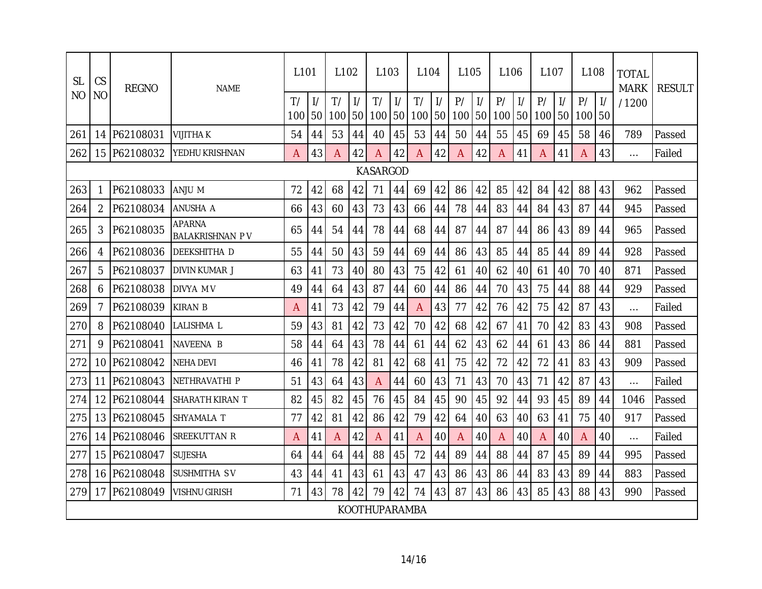| <b>SL</b>       | CS             | <b>REGNO</b> | <b>NAME</b>                             | L <sub>101</sub> |                     | L <sub>102</sub> |                     | L <sub>103</sub>     |                     | L <sub>104</sub> |                     | L105      |                     | l 106     |                     | L <sub>107</sub> |               | L108      |                     | <b>TOTAL</b><br><b>MARK</b> | <b>RESULT</b> |
|-----------------|----------------|--------------|-----------------------------------------|------------------|---------------------|------------------|---------------------|----------------------|---------------------|------------------|---------------------|-----------|---------------------|-----------|---------------------|------------------|---------------|-----------|---------------------|-----------------------------|---------------|
| <b>NO</b>       | <b>NO</b>      |              |                                         | T/<br>100        | $\frac{1}{2}$<br>50 | T/<br>100        | $\frac{1}{2}$<br>50 | T/<br>100            | $\frac{1}{2}$<br>50 | T/<br>100        | $\frac{1}{2}$<br>50 | P/<br>100 | $\frac{1}{2}$<br>50 | P/<br>100 | $\frac{1}{2}$<br>50 | P/<br>100 50     | $\frac{1}{2}$ | P/<br>100 | $\frac{1}{2}$<br>50 | /1200                       |               |
| 261             | 14             | P62108031    | <b>VIJITHAK</b>                         | 54               | 44                  | 53               | 44                  | 40                   | 45                  | 53               | 44                  | 50        | 44                  | 55        | 45                  | 69               | 45            | 58        | 46                  | 789                         | Passed        |
| 262             |                | 15 P62108032 | YEDHU KRISHNAN                          | A                | 43                  | A                | 42                  | A                    | 42                  | A                | 42                  | A         | 42                  | A         | 41                  | A                | 41            | A         | 43                  | $\cdots$                    | Failed        |
| <b>KASARGOD</b> |                |              |                                         |                  |                     |                  |                     |                      |                     |                  |                     |           |                     |           |                     |                  |               |           |                     |                             |               |
| 263             | 1              | P62108033    | ANJU M                                  | 72               | 42                  | 68               | 42                  | 71                   | 44                  | 69               | 42                  | 86        | 42                  | 85        | 42                  | 84               | 42            | 88        | 43                  | 962                         | Passed        |
| 264             | $\overline{2}$ | P62108034    | ANUSHA A                                | 66               | 43                  | 60               | 43                  | 73                   | 43                  | 66               | 44                  | 78        | 44                  | 83        | 44                  | 84               | 43            | 87        | 44                  | 945                         | Passed        |
| 265             | 3              | P62108035    | <b>APARNA</b><br><b>BALAKRISHNAN PV</b> | 65               | 44                  | 54               | 44                  | 78                   | 44                  | 68               | 44                  | 87        | 44                  | 87        | 44                  | 86               | 43            | 89        | 44                  | 965                         | Passed        |
| 266             | 4              | P62108036    | DEEKSHITHA D                            | 55               | 44                  | 50               | 43                  | 59                   | 44                  | 69               | 44                  | 86        | 43                  | 85        | 44                  | 85               | 44            | 89        | 44                  | 928                         | Passed        |
| 267             | 5              | P62108037    | DIVIN KUMAR J                           | 63               | 41                  | 73               | 40                  | 80                   | 43                  | 75               | 42                  | 61        | 40                  | 62        | 40                  | 61               | 40            | 70        | 40                  | 871                         | Passed        |
| 268             | 6              | P62108038    | DIVYA M V                               | 49               | 44                  | 64               | 43                  | 87                   | 44                  | 60               | 44                  | 86        | 44                  | 70        | 43                  | 75               | 44            | 88        | 44                  | 929                         | Passed        |
| 269             | 7              | P62108039    | <b>KIRAN B</b>                          | A                | 41                  | 73               | 42                  | 79                   | 44                  | A                | 43                  | 77        | 42                  | 76        | 42                  | 75               | 42            | 87        | 43                  | $\cdots$                    | Failed        |
| 270             | 8              | P62108040    | LALISHMA L                              | 59               | 43                  | 81               | 42                  | 73                   | 42                  | 70               | 42                  | 68        | 42                  | 67        | 41                  | 70               | 42            | 83        | 43                  | 908                         | Passed        |
| 271             | 9              | P62108041    | NAVEENA B                               | 58               | 44                  | 64               | 43                  | 78                   | 44                  | 61               | 44                  | 62        | 43                  | 62        | 44                  | 61               | 43            | 86        | 44                  | 881                         | Passed        |
| 272             | 10             | P62108042    | <b>NEHA DEVI</b>                        | 46               | 41                  | 78               | 42                  | 81                   | 42                  | 68               | 41                  | 75        | 42                  | 72        | 42                  | 72               | 41            | 83        | 43                  | 909                         | Passed        |
| 273             | 11             | P62108043    | NETHRAVATHI P                           | 51               | 43                  | 64               | 43                  | A                    | 44                  | 60               | 43                  | 71        | 43                  | 70        | 43                  | 71               | 42            | 87        | 43                  | $\cdots$                    | Failed        |
| 274             | 12             | P62108044    | SHARATH KIRAN T                         | 82               | 45                  | 82               | 45                  | 76                   | 45                  | 84               | 45                  | 90        | 45                  | 92        | 44                  | 93               | 45            | 89        | 44                  | 1046                        | Passed        |
| 275             | 13             | P62108045    | SHYAMALA T                              | 77               | 42                  | 81               | 42                  | 86                   | 42                  | 79               | 42                  | 64        | 40                  | 63        | 40                  | 63               | 41            | 75        | 40                  | 917                         | Passed        |
| 276             | 14             | P62108046    | SREEKUTTAN R                            | A                | 41                  | A                | 42                  | $\mathsf{A}$         | 41                  | A                | 40                  | A         | 40                  | A         | 40                  | Α                | 40            | A         | 40                  | $\cdots$                    | Failed        |
| 277             | 15             | P62108047    | <b>SUJESHA</b>                          | 64               | 44                  | 64               | 44                  | 88                   | 45                  | 72               | 44                  | 89        | 44                  | 88        | 44                  | 87               | 45            | 89        | 44                  | 995                         | Passed        |
| 278             | 16             | P62108048    | SUSHMITHA SV                            | 43               | 44                  | 41               | 43                  | 61                   | 43                  | 47               | 43                  | 86        | 43                  | 86        | 44                  | 83               | 43            | 89        | 44                  | 883                         | Passed        |
| 279             | 17             | P62108049    | <b>VISHNU GIRISH</b>                    | 71               | 43                  | 78               | 42                  | 79                   | 42                  | 74               | 43                  | 87        | 43                  | 86        | 43                  | 85               | 43            | 88        | 43                  | 990                         | Passed        |
|                 |                |              |                                         |                  |                     |                  |                     | <b>KOOTHUPARAMBA</b> |                     |                  |                     |           |                     |           |                     |                  |               |           |                     |                             |               |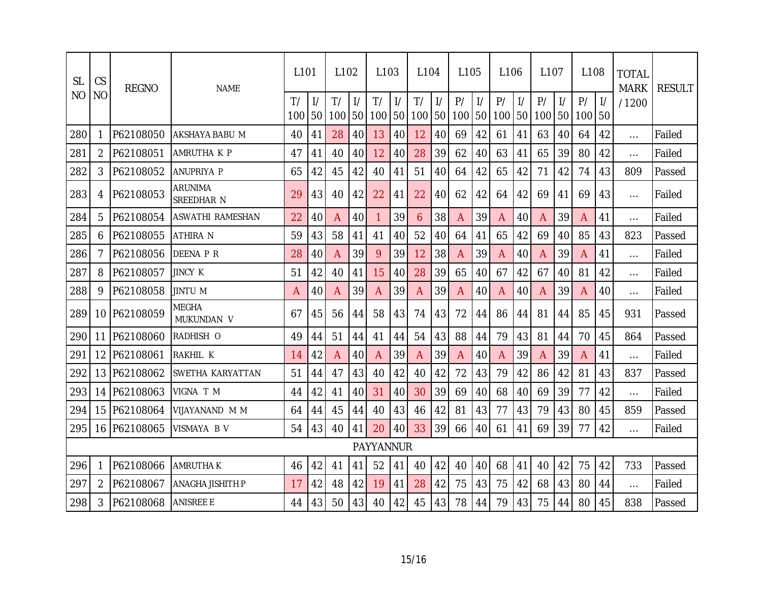| <b>SL</b> | CS<br><b>NO</b> | <b>REGNO</b> | <b>NAME</b>                | L <sub>101</sub> |    | L <sub>102</sub> |                     | L <sub>103</sub> |                     | L <sub>104</sub> |                     | L <sub>105</sub> |                     | L <sub>106</sub> |                     | L <sub>107</sub> |                     | L <sub>108</sub> |                     | <b>TOTAL</b><br><b>MARK</b> | <b>RESULT</b> |
|-----------|-----------------|--------------|----------------------------|------------------|----|------------------|---------------------|------------------|---------------------|------------------|---------------------|------------------|---------------------|------------------|---------------------|------------------|---------------------|------------------|---------------------|-----------------------------|---------------|
| NO        |                 |              |                            | T/<br>100        | 50 | T/<br>100        | $\frac{1}{2}$<br>50 | T/<br>100        | $\frac{1}{2}$<br>50 | T/<br>100        | $\frac{1}{2}$<br>50 | P/<br>100        | $\frac{1}{2}$<br>50 | P/<br>100        | $\frac{1}{2}$<br>50 | P/<br>100        | $\frac{1}{2}$<br>50 | P/<br>100        | $\mathcal{V}$<br>50 | /1200                       |               |
| 280       | 1               | P62108050    | AKSHAYA BABU M             | 40               | 41 | 28               | 40                  | 13               | 40                  | 12               | 40                  | 69               | 42                  | 61               | 41                  | 63               | 40                  | 64               | 42                  | $\cdots$                    | Failed        |
| 281       | $\overline{2}$  | P62108051    | AMRUTHA K P                | 47               | 41 | 40               | 40                  | 12               | 40                  | 28               | 39                  | 62               | 40                  | 63               | 41                  | 65               | 39                  | 80               | 42                  | $\cdots$                    | Failed        |
| 282       | 3               | P62108052    | ANUPRIYA P                 | 65               | 42 | 45               | 42                  | 40               | 41                  | 51               | 40                  | 64               | 42                  | 65               | 42                  | 71               | 42                  | 74               | 43                  | 809                         | Passed        |
| 283       | 4               | P62108053    | ARUNIMA<br>SREEDHAR N      | 29               | 43 | 40               | 42                  | 22               | 41                  | 22               | 40                  | 62               | 42                  | 64               | 42                  | 69               | 41                  | 69               | 43                  | $\cdots$                    | Failed        |
| 284       | 5               | P62108054    | ASWATHI RAMESHAN           | 22               | 40 | A                | 40                  | $\mathbf{1}$     | 39                  | 6                | 38                  | A                | 39                  | A                | 40                  | Α                | 39                  | A                | 41                  | $\cdots$                    | Failed        |
| 285       | 6               | P62108055    | ATHIRA N                   | 59               | 43 | 58               | 41                  | 41               | 40                  | 52               | 40                  | 64               | 41                  | 65               | 42                  | 69               | 40                  | 85               | 43                  | 823                         | Passed        |
| 286       | 7               | P62108056    | DEENA P R                  | 28               | 40 | Α                | 39                  | 9                | 39                  | 12               | 38                  | A                | 39                  | A                | 40                  | Α                | 39                  | A                | 41                  | $\cdots$                    | Failed        |
| 287       | 8               | P62108057    | JINCY K                    | 51               | 42 | 40               | 41                  | 15               | 40                  | 28               | 39                  | 65               | 40                  | 67               | 42                  | 67               | 40                  | 81               | 42                  | $\cdots$                    | Failed        |
| 288       | 9               | P62108058    | JINTU M                    | A                | 40 | Α                | 39                  | A                | 39                  | A                | 39                  | A                | 40                  | A                | 40                  | Α                | 39                  | A                | 40                  | $\cdots$                    | Failed        |
| 289       | 10 <sup>°</sup> | P62108059    | <b>MEGHA</b><br>MUKUNDAN V | 67               | 45 | 56               | 44                  | 58               | 43                  | 74               | 43                  | 72               | 44                  | 86               | 44                  | 81               | 44                  | 85               | 45                  | 931                         | Passed        |
| 290       | 11              | P62108060    | RADHISH O                  | 49               | 44 | 51               | 44                  | 41               | 44                  | 54               | 43                  | 88               | 44                  | 79               | 43                  | 81               | 44                  | 70               | 45                  | 864                         | Passed        |
| 291       | 12              | P62108061    | RAKHIL K                   | 14               | 42 | A                | 40                  | A                | 39                  | A                | 39                  | A                | 40                  | A                | 39                  | Α                | 39                  | A                | 41                  | $\cdots$                    | Failed        |
| 292       | 13              | P62108062    | SWETHA KARYATTAN           | 51               | 44 | 47               | 43                  | 40               | 42                  | 40               | 42                  | 72               | 43                  | 79               | 42                  | 86               | 42                  | 81               | 43                  | 837                         | Passed        |
| 293       | 14              | P62108063    | VIGNA T M                  | 44               | 42 | 41               | 40                  | 31               | 40                  | 30               | 39                  | 69               | 40                  | 68               | 40                  | 69               | 39                  | 77               | 42                  | $\cdots$                    | Failed        |
| 294       | 15              | P62108064    | VIJAYANAND M M             | 64               | 44 | 45               | 44                  | 40               | 43                  | 46               | 42                  | 81               | 43                  | 77               | 43                  | 79               | 43                  | 80               | 45                  | 859                         | Passed        |
| 295       |                 | 16 P62108065 | VISMAYA B V                | 54               | 43 | 40               | 41                  | 20               | 40                  | 33               | 39                  | 66               | 40                  | 61               | 41                  | 69               | 39                  | 77               | 42                  | $\ldots$                    | Failed        |
|           |                 |              |                            |                  |    |                  |                     | <b>PAYYANNUR</b> |                     |                  |                     |                  |                     |                  |                     |                  |                     |                  |                     |                             |               |
| 296       | 1               | P62108066    | <b>AMRUTHAK</b>            | 46               | 42 | 41               | 41                  | 52               | 41                  | 40               | 42                  | 40               | 40                  | 68               | 41                  | 40               | 42                  | 75               | 42                  | 733                         | Passed        |
| 297       | $\overline{2}$  | P62108067    | ANAGHA JISHITH P           | 17               | 42 | 48               | 42                  | 19               | 41                  | 28               | 42                  | 75               | 43                  | 75               | 42                  | 68               | 43                  | 80               | 44                  | $\cdots$                    | Failed        |
| 298       | 3               | P62108068    | <b>ANISREE E</b>           | 44               | 43 | 50               | 43                  | 40               | 42                  | 45               | 43                  | 78               | 44                  | 79               | 43                  | 75               | 44                  | 80               | 45                  | 838                         | Passed        |